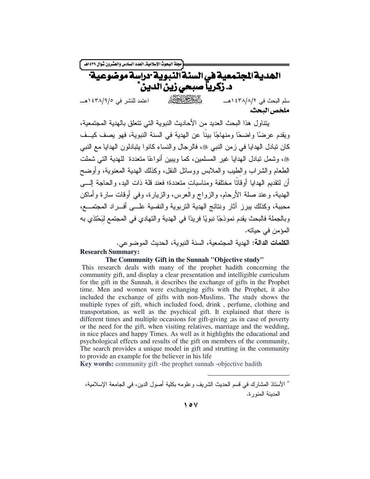مجلة البحوث الإسلامية العدد السادس والعشرون شوال ١٤٣٩هـ. الهدية المجتمعية في السنة النبوية وراسة موضوعية د. زكرياً صبحى زين الدين الشالخ الحقظ سلم البحث في ٤٣٨/٨/٢ ١هـــ اعتمد للنشر في ٤٣٨/٩/٥ ١هـــ ملخص البحث.

بنتاول هذا البحث العدبد من الأحادبث النبوبة التي نتعلق بالهدبة المجتمعية، ويقدم عر ضدًا واضحًا ومنهاجًا بينًا عن الهدية في السنة النبوية، فهو يصف كيــف كان تبادل الهدابا في ز من النبي ﷺ، فالر جال و النساء كانو ا بتبادلون الهدابا مع النبي ﴾، وشمل تبادل الهدايا غير المسلمين، كما وبيبن أنواعًا متعددة للهدية التي شملت الطعام والشراب والطيب والملابس ووسائل النقل، وكذلك الهدية المعنوية، وأوضح أن لنقديم الهدايا أوقاتًا مختلفة ومناسبات متعددة؛ فعند قلة ذات اليد، والحاجة إلــــى الهدية، وعند صلة الأرحام، والزواج والعرس، والزيارة، وفي أوقات سارة وأماكن محببة، وكذلك ببرز أثار ونتائج الهدية التربوية والنفسية علـــى أفـــراد المجتمـــع، وبالجملة فالبحث يقدم نموذجًا نبويًا فريدًا في الهدية والتهادي في المجتمع ليَحْتذي به المؤمن في حياته.

الكلمات الدالة: الهدية المجتمعية، السنة النبوية، الحديث الموضوعي.

#### **Research Summary:**

#### The Community Gift in the Sunnah "Objective study"

This research deals with many of the prophet hadith concerning the community gift, and display a clear presentation and intelligible curriculum for the gift in the Sunnah, it describes the exchange of gifts in the Prophet time. Men and women were exchanging gifts with the Prophet, it also included the exchange of gifts with non-Muslims. The study shows the multiple types of gift, which included food, drink, perfume, clothing and transportation, as well as the psychical gift. It explained that there is different times and multiple occasions for gift-giving ; as in case of poverty or the need for the gift, when visiting relatives, marriage and the wedding, in nice places and happy Times. As well as it highlights the educational and psychological effects and results of the gift on members of the community, The search provides a unique model in gift and strutting in the community to provide an example for the believer in his life

**Key words:** community gift - the prophet sunnah - objective hadith

<sup>\*</sup> الأستاذ المشارك في قسم الحديث الشريف وعلومه بكلية أصول الدين، في الجامعة الإسلامية، المدينة المنورة.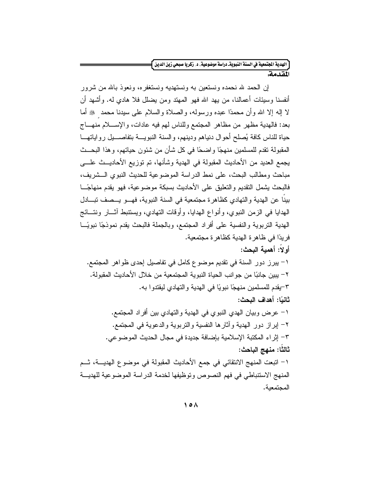# .<br>|الهدية الجتمعية في السنة النبويةـ دراسة موضوعية، د ـ زكريا صبحي زين الدين <del>|</del>

المقدمة

المجتمعبة.

إن الحمد لله نحمده ونستعين به ونستهديه ونستغفره، ونعوذ بالله من شرور أنفسنا وسبيَّات أعمالنـا، من يـهد الله فـهو المـهند ومن بـضلل فلا هادي لـه. وأشـهد أن لا إله إلا الله وأن محمدًا عبده ورسوله، والصلاة والسلام على سبدنا محمد ﴿ أَمَّا بعد: فالهدية مظهر من مظاهر المجتمع وللناس لهم فيه عادات، والإســــلام منهــــاج حياة للناس كافة يُصلح أحوال دنياهم ودينهم، والسنة النبويـــة بتفاصـــيل رواياتهـــا المقبولة تقدم للمسلمين منهجًا واضحًا في كل شأن من شئون حياتهم، وهذا البحــث يجمع العديد من الأحاديث المقبولة في الهدية وشأنها، تم توزيع الأحاديـــث علــــي مباحث ومطالب البحث، على نمط الدراسة الموضوعية للحديث النبوي الــشريف، فالبحث بشمل النقديم والتعليق على الأحاديث بسبكة موضوعية، فهو يقدم منهاجًـــا بينا عن الهدية والتهادي كظاهرة مجتمعية في السنة النبوية، فهـــو يـــصف نبــــادل الهدايا في الزمن النبوي، وأنواع الهدايا، وأوقات النهادي، ويستنبط آثـــار ونتـــائج الهدية التربوية والنفسية على أفراد المجتمع، وبالجملة فالبحث يقدم نموذجًا نبويًـــا فريدًا في ظاهر ة الهدية كظاهر ة مجتمعية. أو لا: أهمية البحث: ١– يبرز دور السنة في نقديم موضوع كامل في تفاصيل إحدى ظواهر المجتمع. ٢– يبين جانبًا من جو انب الحياة النبوية المجتمعية من خلال الأحاديث المقبولة. ٣-يقدم للمسلمين منهجًا نبويًا في الهدية والتهادي ليقتدوا به. ثانيًا: أهداف البحث: ١– عرض وبيان الهدى النبو ي في الهدية و التهادي بين أفر اد المجتمع. ٢– إبراز دور الهدية وأثارها النفسية والنربوية والدعوية في المجتمع. ٣- إثراء المكتبة الإسلامية بإضافة جديدة في مجال الحديث الموضوعي. ثالثًا: منهج الباحث: ١– اتبعت المنهج الانتقائي في جمع الأحاديث المقبولة في موضوع الهديـــة، ثـــم المنهج الاستنباطي في فهم النصوص وتوظيفها لخدمة الدراسة الموضوعية للهديسة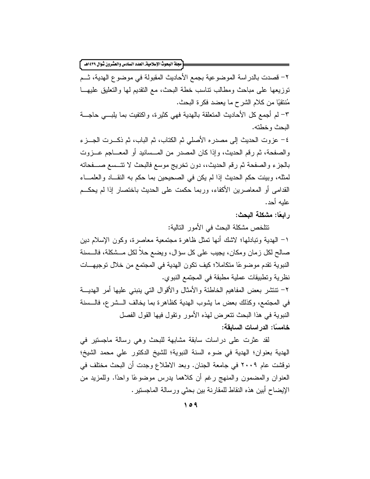[مجلة البحوث الإسلامية\_ العدد السادس والعشرون شوال ١٤٣٩هـ ]

٢– فصدت بالدراسة الموضوعية بجمع الأحاديث المقبولة في موضوع الهدية، شــم نوزيعها على مباحث ومطالب نناسب خطة البحث، مع النقديم لمها والنعليق عليهـــا مُنتقيًا من كلام الشرح ما يعضد فكرة البحث. ٣– لم أجمع كل الأحاديث المتعلقة بالهدية فهي كثيرة، واكتفيت بما يلبسي حاجسة البحث وخطته.

٤– عزوت الحديث إلى مصدر ه الأصلي ثم الكتاب، ثم الباب، ثم ذكـــرت الجـــز ء والصفحة، ثم رقم الحديث، وإذا كان المصدر من المـــسانيد أو المعــــاجم عــــزوت بالجزء والصفحة ثم رقم الحديث،، دون تخريج موسع فالبحث لا تتــسع صـــفحاته لمثله، وبينت حكم الحديث إذا لم يكن في الصحيحين بما حكم به النقــاد والعلمـــاء القدامي أو المعاصرين الأكفاء، وربما حكمت على الحديث باختصار إذا لم يحكــم عليه أحد.

ر ابعًا: مشكلة البحث:

نتلخص مشكلة البحث في الأمور التالية: ١– الهدية وتبادلها؛ لاشك أنها نمثل ظاهرة مجتمعية معاصرة، وكون الإسلام دين صالح لكل زمان ومكان، يجيب على كل سؤال، ويضع حلا لكل مــشكلة، فالــسنة النبوية تقدم موضوعًا متكاملاً؛ كيف تكون الهدية في المجتمع من خلال توجيهات نظرية وتطبيقات عملية مطبقة في المجتمع النبوي.

٢– نتنشر بعض المفاهيم الخاطئة والأمثال والأقوال الني ينبني عليها أمر الهديـــة في المجتمع، وكذلك بعض ما يشوب الهدية كظاهر ة بما يخالف الـــشر ع، فالـــسنة النبوية في هذا البحث تتعرض لهذه الأمور وتقول فيها القول الفصل خامسًا: الدراسات السابقة:

لقد عثرت على دراسات سابقة مشابهة للبحث وهي رسالة ماجستير في الهدية بعنوان؛ الهدية في ضوء السنة النبوية؛ للشيخ الدكتور على محمد الشيخ؛ نوفشت عام ٢٠٠٩ في جامعة الجنان. وبعد الاطلاع وجدت أن البحث مختلف في العنوان والمضمون والمنهج رغم أن كلاهما بدرس موضوعًا واحدًا. وللمزيد من الإيضاح أبين هذه النقاط للمقارنة بين بحثي ورسالة الماجستير .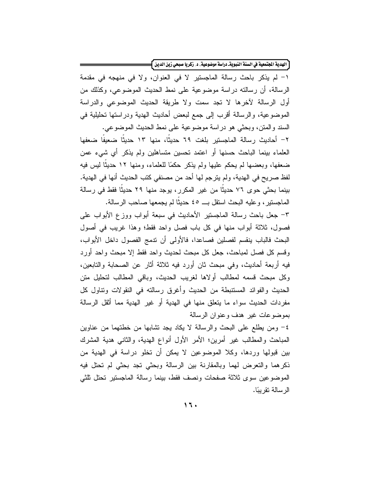[ الهدية الجنَّمعية في السنة النبويةـ دراسة موضوعية، د. زكريا صبحي زين الدين ]=

١- لم يذكر باحث رسالة الماجستير لا في العنوان، ولا في منهجه في مقدمة الرسالة، أن رسالته دراسة موضوعية على نمط الحديث الموضوعي، وكذلك من أول الرسالة لآخرها لا تجد سمت ولا طريقة الحديث الموضوعي والدراسة الموضوعية، والرسالة أقرب إلى جمع لبعض أحاديث الهدية ودراستها تحليلية في السند والمنن، وبحثي هو دراسة موضوعية على نمط الحديث الموضوعي.

٢– أحاديث رسالة الماجستير بلغت ٦٩ حديثا، منها ١٣ حديثا ضعيفا ضعفها العلماء بينما الباحث حسنها أو اعتمد تحسين متساهلين ولم يذكر أي شيء عمن ضعفها، وبعضها لم يحكم عليها ولم يذكر حكمًا للعلماء، ومنها ١٢ حديثًا ليس فيه لفظ صريح في الهدية، ولم يترجم لها أحد من مصنفي كتب الحديث أنها في الهدية. بينما بحثى حوى ٧٦ حديثًا من غير المكرر، يوجد منها ٢٩ حديثًا فقط في رسالة الماجستير ، وعليه البحث استقل بـــ ٤٥ حديثًا لم يجمعها صـاحب الرسالة.

٣– جعل باحث رسالة الماجستير الأحاديث في سبعة أبواب ووزع الأبواب على فصول، ثلاثة أبواب منها في كل باب فصل واحد فقط؛ وهذا غريب في أصول البحث فالباب ينقسم لفصلين فصاعدا، فالأولى أن ندمج الفصول داخل الأبواب، وقسم كل فصل لمباحث، جعل كل مبحث لحديث واحد فقط إلا مبحث واحد أورد فيه أربعة أحاديث، وفي مبحث ثان أورد فيه ثلاثة أثار عن الصحابة والتابعين، وكل مبحث قسمه لمطالب أولاها لغريب الحديث، وباقى المطالب لتحليل متن الحديث والفوائد المستنبطة من الحديث وأغرق رسالته في النقولات وتناول كل مفردات الحديث سواء ما يتعلق منها في الهدية أو غير الهدية مما أثقل الرسالة بموضوعات غير هدف وعنوان الرسالة

٤– ومن يطلع على البحث والرسالة لا يكاد يجد تشابها من خطتهما من عناوين المباحث والمطالب غير أمرين؛ الأمر الأول أنواع الهدية، والثاني هدية المشرك بين قبولها وردها، وكلا الموضوعين لا يمكن أن تخلو دراسة في الهدية من ذكرهما والنعرض لهما وبالمقارنة بين الرسالة وبحثى نجد بحثى لم نحتل فيه الموضوعين سوى ثلاثة صفحات ونصف فقط، بينما رسالة الماجستير تحتل ثلثى الر سالة تقر بيًا.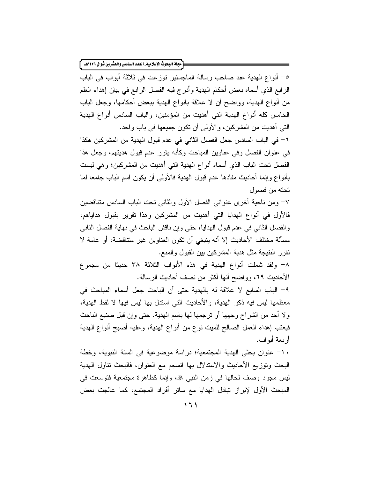[مجلة البحوث الإسلامية\_ العدد السادس والعشرون شوال ١٤٣٩هـ ]

٥– أنواع الهدية عند صاحب رسالة الماجستير توزعت في ثلاثة أبواب في الباب الرابع الذي أسماه بعض أحكام الهدية وأدرج فيه الفصل الرابع في بيان إهداء العلم من أنواع الهدية، وواضح أن لا علاقة بأنواع الهدية ببعض أحكامها، وجعل الباب الخامس كله أنواع الهدية التي أهديت من المؤمنين، والباب السادس أنواع الهدية التي أهديت من المشركين، والأولىي أن نكون جميعها في باب واحد.

٦- في الباب السادس جعل الفصل الثاني في عدم قبول الهدية من المشركين هكذا في عنوان الفصل وفي عناوين المباحث وكأنه يقرر عدم قبول هديتهم، وجعل هذا الفصل تحت الباب الذي أسماه أنواع الهدية التي أهديت من المشركين؛ وهي ليست بأنواع وإنما أحاديث مفادها عدم قبول الهدية فالأولىي أن يكون اسم الباب جامعا لما تحته من فصول

٧– ومِن ناحية أخرى عنواني الفصل الأول والثاني تحت الباب السادس متناقضين فالأول في أنواع الهدايا التي أهديت من المشركين وهذا نقرير بقبول هداياهم، والفصل الثاني في عدم قبول الهدايا، حتى وإن ناقش الباحث في نهاية الفصل الثاني مسألة مختلف الأحاديث إلا أنه ينبغي أن تكون العناوين غير متناقضة، أو عامة لا نقرر النتيجة مثل هدية المشركين بين القبول والمنع.

٨- ولقد شملت أنواع الهدية في هذه الأبواب الثلاثة ٣٨ حديثا من مجموع الأحاديث ٦٩، وواضح أنها أكثر من نصف أحاديث الرسالة.

٩– الباب السابع لا علاقة له بالهدية حتى أن الباحث جعل أسماء المباحث في معظمها ليس فيه ذكر الهدية، والأحاديث التي استدل بها ليس فيها لا لفظ الهدية، ولا أحد من الشراح وجهها أو نرجمها لها باسم الهدية. حتى وإن قبل صنيع الباحث فيعتب إهداء العمل الصالح للميت نوع من أنواع الهدية، وعليه أصبح أنواع الهدية أر بعة أبو اب.

١٠- عنوان بحثى الهدية المجتمعية؛ دراسة موضوعية في السنة النبوية، وخطة البحث ونوزيع الأحاديث والاستدلال بها انسجم مع العنوان، فالبحث نتاول الهدية ليس مجرد وصف لحالها في زمن النبي ﷺ، وإنما كظاهرة مجتمعية فتوسعت في المبحث الأول لإبراز نبادل الهدايا مع سائر أفراد المجتمع، كما عالجت بعض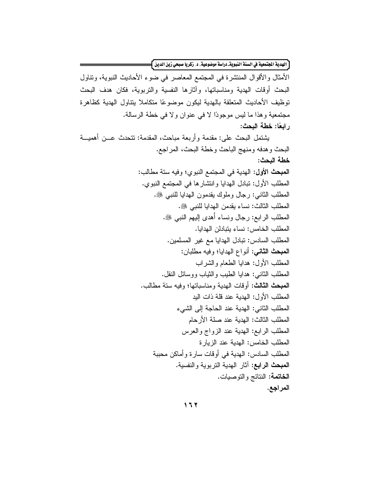[الهدية الجتمعية في السنة النبويةـ دراسة موضوعية، د. زكريا صبحي زين الدين ]=

الأمثال والأقوال المنتشرة في المجتمع المعاصر في ضوء الأحاديث النبوية، ونتاول البحث أوقات الهدية ومناسباتها، وأثارها النفسية والتربوية، فكان هدف البحث توظيف الأحاديث المتعلقة بالهدية ليكون موضوعًا متكاملا بنتاول الهدية كظاهرة مجتمعية وهذا ما ليس موجودًا لا في عنوان ولا في خطة الرسالة. ر ابعًا: خطة البحث:

يشتمل البحث على: مقدمة وأربعة مباحث، المقدمة: تتحدث عـــن أهميـــة البحث وهدفه ومنهج الباحث وخطة البحث، المراجع. خطة البحث: المبحث الأول: الهدية في المجتمع النبوي؛ وفيه ستة مطالب: المطلب الأول: تبادل الهدايا وانتشارها في المجتمع النبوي. المطلب الثاني: رجال وملوك يقدمون الهدايا للنبي ﷺ. المطلب الثالث: نساء يقدمن الهدايا للنبي ﷺ. المطلب الرابع: رجال ونساء أهدى إليهم النبي ﷺ. المطلب الخامس: نساء يتبادلن الهدايا. المطلب السادس: نبادل الهدايا مع غير المسلمين. المعبحث الثاني: أنواع الهدايا؛ وفيه مطلبان: المطلب الأول: هدايا الطعام والشراب المطلب الثاني: هدايا الطيب والثياب ووسائل النقل. المبحث الثالث: أو قات الهدية و مناسباتها؛ و فيه ستة مطالب. المطلب الأول: الهدية عند قلة ذات اليد المطلب الثاني: الهدية عند الحاجة إلى الشيء المطلب الثالث: الهدية عند صلة الأرحام المطلب الرابع: الهدية عند الزواج والعرس المطلب الخامس: الهدية عند الزيارة المطلب السادس: الـهدية فـي أوقات سارة وأماكن محببة المبحث الرابع: آثار الهدية التربوية والنفسية. الخاتمة: النتائج والنوصيات. المراجع.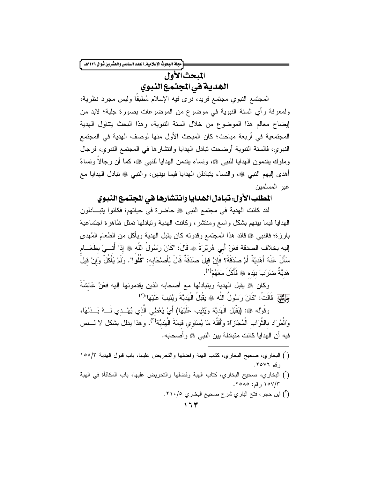.<br>مجلة البحوث الإسلامية\_ العدد السادس والعشرون شوال ١٤٣٩هـ.

المبحث الأول الهدية في المجتمع النبوي

المجتمع النبوي مجتمع فريد، نرى فيه الإسلام مُطبقًا وليس مجرد نظرية، ولمعرفة رأي السنة النبوية في موضوع من الموضوعات بصورة جلية؛ لابد من إيضاح معالم هذا الموضوع من خلال السنة النبوية، وهذا البحث يتناول الهدية المجتمعية في أربعة مباحث؛ كان المبحث الأول منها لوصف الهدية في المجتمع النبوي، فالسنة النبوية أوضحت نبادل الهدايا وانتشارها في المجتمع النبوي، فرجال وملوك يقدمون الهدايا للنبي ۞، ونساء يقدمن الهدايا للنبي ۞، كما أن رجالاً ونساءً أهدى إليهم النبي ﷺ، والنساء بِتبادلن الهدايا فيما بينهن، والنبي ﷺ تبادل الهدايا مع غبر المسلمين

# المطلب الأول. تبادل الهدايا وانتشارها في المجتمع النبوي

لقد كانت الهدية في مجتمع النبي ﷺ حاضرة في حياتهم؛ فكانوا بِتبادلون الهدايا فيما ببنهم بشكل وإسع ومنتشر، وكانت الهدية وتبادلها تمثل ظاهرة اجتماعية بارزة؛ فالنبي ۞ قائد هذا المجتمع وقدونه كان يقبل الهدية ويأكل من الطعام المُهدى إليه بخلاف الصدقة فعَنْ أَبي هُرَيْرَةَ ۞ قَالَ: "كَانَ رَسُولُ اللَّه ۞ إِذَا أُتــيَ بطَعَـــام سَأَلَ عَنْهُ أَهَديَّةٌ أَمْ صَدَقَةٌ؟ فَإِنْ قيلَ صَدَقَةٌ قَالَ لأَصْحَابِه: "كُلُوا". ولَمْ يَأْكُلْ وَإِنْ قيلَ هَدِيَّةٌ ضَرَ بَ بِبَدِهِ ﷺ فَأَكَلَ مَعَهُمْ<sup>(١</sup>).

وكان ﷺ يقبل الهدية ويتبادلها مع أصحابه الذين يقدمونها إليه فعَنْ عَائشَةَ لِبَيْنَ إِنَّ اللَّهَ : "كَانَ رَسُولُ اللَّه ، يَقْبَلُ الْهَدِيَّةَ وَيُثِيبُ عَلَيْهَا"(٢)

وقَوْلُه ۞: (يَقْبَل الْهَديَّة وَيُثِيب عَلَيْهَا) أَيْ يُعْطي الَّذي يُهْــدي لَـــهُ بَـــدَلمَا، وَالْمُرَاد بِالثَّوَابِ الْمُجَازَاة وَأَقَلَّهُ مَا يُسَاوِي قَيمَةَ الْهَديَّة<sup>(٣)</sup>. وهذا يدلل بشكل لا لــــبس فيه أن الهدايا كانت متبادلة بين النبي ﷺ و أصحابه.

- (أ) البخاري، صحيح البخاري، كتاب الهبة وفضلها والتحريض عليها، باب المكافأة في الهبة ١٥٧/٣، رقم: ٢٥٨٥.
	- ( ّ) ابن حجر ، فتح البار ي شر ح صحيح البخار ي ٢١٠/٥.

<sup>(</sup>أ) البخاري، صحيح البخاري، كتاب الهبة وفضلها والنحريض عليها، باب قبول الهدية ١٥٥/٣ ، قم ٢٥٧٦.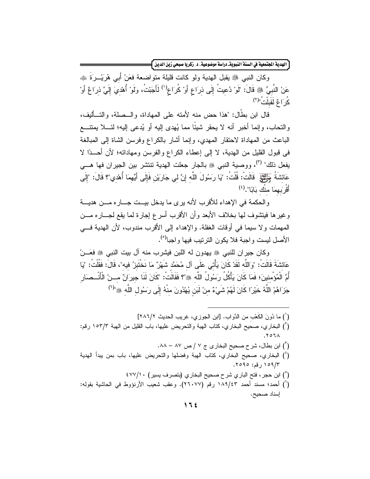ّ الهدية الجتمعية في السنة النبويةـ دراسة موضوعية، د. زكريا صبحي زين الدين <mark>}</mark>

وكان النبي ﷺ يقبل الهدية ولو كانت قليلة متواضعة فعَنْ أَبِي هُرَيْــرَةَ ﷺ عَنْ النَّبِيِّ ﷺ قَالَ: "لَوْ دُعيتُ إِلَى ذِرَاعٍ أَوْ كُرَاعٍ<sup>(י)</sup> لَأَجَبْتُ، ولَوْ أُهْدِيَ إِلَيَّ ذِرَاعٌ أَوْ  $\sum_{i=1}^{N}$ كُو َا عَ لَقَبِلْتُ"<sup>(٢)</sup>

قال ابن بطَّال: "هذا حض منه لأمته على المهاداة، والــصلة، والتــأليف، والتحاب، وإنما أخبر أنه لا يحقر شيئًا مما يُهدى إليه أو يُدعى إليه؛ لئــــلا يمتنــــع الباعث من المهاداة لاحتقار المهدى، وإنما أشار بالكراع وفرسن الشاة إلى المبالغة في قبول القليل من الهدية، لا إلى إعطاء الكراع والفرسن ومهاداته؛ لأن أحـــدًا لا يفعل ذلك" <sup>(٢)</sup>، ووصية النبي ﷺ بالجار جعلت الهدية تنتشر بين الجيران فها هـــي عَائشَةُ جَلِيلِهِم ۖ قَالَتْ: قُلْتُ: "يَا رَسُولَ اللَّهِ إِنَّ لِي جَارَيْنِ فَإِلَى أَيِّهِمَا أُهْدِي"؟ قَالَ: "إِلَى أَقْر<sup>َ</sup>بِهِمَا مِنْكِ بَابًا".<sup>(٤)</sup>

والحكمة في الإهداء للأقرب لأنه يرى ما يدخل بيــت جـــار ه مـــن هديـــة وغيرها فيتشوف لمها بخلاف الأبعد وأن الأقرب أسرع إجارة لما يقع لجـــاره مـــن المهمات ولا سيما في أوقات الغفلة. والإهداء إلى الأقرب مندوب، لأن الهدية في الأصل ليست و اجبة فلا يكون التر تيب فيها و اجبا<sup>(٥)</sup>.

وكان جير إن للنبي ﷺ يهدون له اللبن فيشرب منه آل بيت النبي ﷺ فعَـــنْ عَائشَةَ قَالَتْ: "وَاللَّه لَقَدْ كَانَ يَأْتِى عَلَى آل مُحَمَّد شَهْرٌ مَا نَخْتَبِرْ ُ فِيه"، قَالَ: فَقُلْتُ: "يَا أُمَّ الْمُؤْمنينَ؛ فَمَا كَانَ يَأْكُلُ رَسُولُ اللَّه ﷺ؟ فَقَالَتْ: "كَانَ لَنَا جيرَانٌ مـــنْ الْأَنْــصَار جَزَاهُمْ اللَّهُ خَيْرًا كَانَ لَهُمْ شَيْءٌ منْ لَبَن يُهْدُونَ منْهُ إِلَى رَسُولِ اللَّهِ ﷺ"(")

- ( ٰ ) ما دُونَ الكعْبِ من الدَّوابِ. [ابن الجوزي، غريب الحديث ٢٨٦/٢]
- (أ) البخاري، صحيح البخاري، كتاب الهبة والنحريض عليها، باب القليل من الهبة ١٥٣/٣ رقم:  $.707<sub>A</sub>$ 
	- ('') ابن بطال، شرح صحیح البخاری ج ۷ / ص ۸۷ ۸۸.
- (`) البخاري، صحيح البخاري، كتاب الهبة وفضلها والتحريض عليها، باب بمن ببدأ الهدية ١٥٩/٣، فم: ٢٥٩٥.
	- (°) ابن حجر ، فتح الباري شرح صحيح البخاري (بنصرف يسير) ٤٧٧/١٠
- (`) أحمد؛ مسند أحمد ١٨٩/٤٣ رقم (٢٦٠٧٧). وعقب شعيب الأرنؤوط في الحاشية بقوله: إسناد صحيح.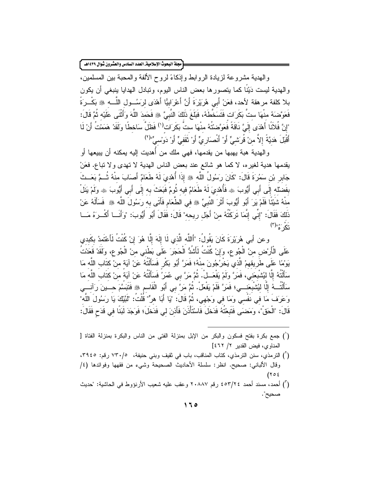.<br>مجلة البحوث الإسلامية\_ العدد السادس والعشرون شوال ١٤٣٩هـ ً

و الهدية مشروعة لزيادة الروابط وإذكاءً لروح الألفة والمحبة بين المسلمين، والهدية ليست دَيْنًا كما يتصورها بعض الناس اليوم، ونبادل الهدايا ينبغي أن يكون بلا كلفة مرهقة لأحد، فعَنْ أَبِي هُرَيْرَةَ أَنَّ أَعْرَابِيًّا أَهْدَى لرَسُـــول اللَّــــه ﷺ بَكْــرَةً فَعَوَّصَـهُ منْهَا ستّ بَكَرَات فَتَسَخَّطَهُ، فَبَلَغَ ذَلَكَ النَّبِيَّ ۞ فَحَمدَ اللَّهَ وَأَثْنَى عَلَيْه ثُمَّ قَالَ: "إِنَّ فُلاَنًا أَهْدَى إِلَىَّ نَاقَةً فَعَوَّضنتُهُ مِنْهَا ستُّ بَكَرَاتٍ<sup>(י)</sup> فَظَلَّ سَاخطًا ولَقَدْ هَمَمْتُ أَنْ لَا أَقْبَلَ هَديَّةً إلاَّ منْ قُرَشيٍّ أَوْ أَنْصارِيٍّ أَوْ ثَقَفيٍّ أَوْ دَوْسيٍّ"(٢)

والهدية هبة يهبها من يقدمها، فهي ملك من أهديت إليه يمكنه أن يبيعها أو يقدمها هدية لغيره، لا كما هو شائع عند بعض الناس الهدية لا تهدى ولا نباع. فعَنْ جَابِرٍ بْنِ سَمُرَةَ قَالَ: "كَانَ رَسُولُ اللَّه ﴾ إِذَا أُهْدِيَ لَهُ طَعَامٌ أَصَابَ منْهُ ثُــمَّ بَعَــثَ بفَضلْه إِلَى أَبِي أَيُّوبَ ۞ فَأُهْدِيَ لَهُ طَعَامٌ فيه ثُومٌ فَبَعَثَ به إِلَى أَبِي أَيُّوبَ ۞ ولَمْ يَنَلْ منْهُ شَيْئًا فَلَمْ يَرَ أَبُو أَيُّوبَ أَثَرَ النَّبِىِّ ﷺ في الطَّعَامِ فَأَتَى به رَسُولَ اللَّه ﷺ فَسَأَلَهُ عَنْ ذَلكَ فَقَالَ: "إِنِّي إِنَّمَا تَرَكْتُهُ مِنْ أَجَل رِيحِه" قَالَ: فَقَالَ أَبُو أَيُّوبَ: "وَأَنَــا أَكْــرَهُ مَــا تَکُ ءُ"(۲)

و عن أبي هُرَيْرَةَ كَانَ يَقُولُ: "أَاللَّه الَّذي لَا إِلَهَ إِلَّا هُوَ إِنْ كُنْتُ لَأَعْتَمدُ بكَبدي عَلَى الْأَرْض منْ الْجُوع، وَإِنْ كُنْتُ لَأَشْدُّ الْحَجَرَ عَلَى بَطْني منْ الْجُوع، ولَقَدْ قَعَدْتُ يَوْمًا عَلَى طَرِيقِهِمْ الَّذِي يَخْرُجُونَ مِنْهُ؛ فَمَرَّ أَبُو بَكْرٍ فَسَأَلْتُهُ عَنْ آيَة منْ كتَاب اللَّه مَا سَأَلْتُهُ إِلَّا لِيُشْبِعَنِيَ، فَمَرَّ ولَمْ يَفْعَــلْ. ثُمَّ مَرَّ بـي عُمَرُ فَسَأَلْتُهُ عَنْ آيَةً من كَتَابَ اللَّهَ مَا سَأَلْتُــهُ إِلَّا لِيُشْبِعَنِـــي؛ فَمَرَّ فَلَمْ يَفْعَلْ. ثُمَّ مَرَّ بِي أَبُو الْقَاسِمِ ﴾ فَنَبَسَّمَ حِـــينَ رَآنِـــِي وَعَرَفَ مَا فِي نَفْسِي وَمَا فِي وَجْهِي، ثُمَّ قَالَ: "يَا أَبَا هرٍّ" قُلْتُ: "لَبَّيْكَ يَا رَسُولَ اللَّه" قَالَ: "الْحَقْ"، ومَضنَى فَتَبِعْتُهُ فَدَخَلَ فَاسْتَأْذَنَ فَأَذنَ لی فَدَخَلَ؛ فَوَجَدَ لَبَنَا فی قَدَح فَقَالَ:

- (أ) جمع بكرة بفتح فسكون والبكر من الإبل بمنزلة الفتى من الناس والبكرة بمنزلة الفتاة [ المناوي، فيض القدير ٢/ ٤٦٢]
- (أ) الترمذي، سنن الترمذي، كتاب المناقب، باب في ثقيف وبني حنيفة، ٢٩٤٥/ رقم: ٣٩٤٥، وقال الألباني: صحيح. انظر: سلسلة الأحاديث الصحيحة وشيء من فقهها وفوائدها (٤/  $(705$
- (أ) أحمد، مسند أحمد ٢٥٣/٢٤ رقم ٢٠٨٨٧ وعقب عليه شعيب الأرنؤوط في الحاشية: "حديث صحيح".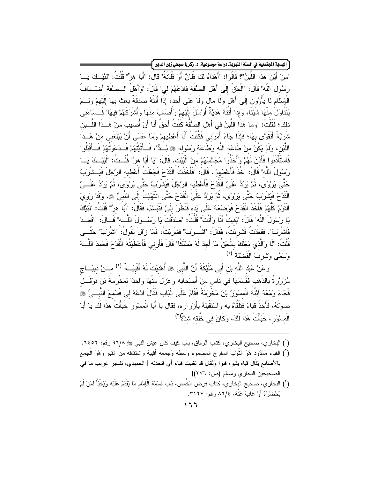ّ الهدية الجنّمعية في السنة النبويةـ دراسة موضوعية ، د زكريا صبحي زين الدين ﴾

'منْ أَيْنَ هَذَا اللَّبَنْ"؟ قَالُوا: "أَهْدَاهُ لَكَ فُلَانٌ أَوْ فُلَانَةُ" قَالَ: "أَبَا هرٍ" قُلْتُ: "لَبَّدْ كَ يَــا رَسُولَ اللَّه" قَالَ: "الْحَقْ إِلَى أَهْل الصُّفَّة فَادْعُهُمْ لي" قَالَ: "وَأَهْلُ الــصُّفَّة أَضـْــبَافُ الْإِسْلَامِ لَا يَأْوُونَ إِلَى أَهْلَ وَلَا مَالَ وَلَا عَلَى أَحَد، إِذَا أَتَتْهُ صَدَقَةٌ بَعَثَ بهَا إِلَيْهِمْ وَلَــمْ يَتَنَاوَلْ منْهَا شَيْئًا، وَإِذَا أَنَتْهُ هَدَيَّةٌ أَرْسَلَ إِلَيْهِمْ وَأَصَابَ منْهَا وَأَشْرِكَهُمْ فيهَا" فَــسَاءَنـى ذَلكَ؛ فَقُلْتُ: "ومَا هَذَا اللَّبَنُ في أَهْل الصُّفَّة كُنْتُ أَحَقَّ أَنَا أَنْ أُصبِبَ منْ هَــذَا اللَّــبَن شَرْبَةً أَتَقَوَّى بِهَا؛ فَإِذَا جَاءَ أَمَرَني فَكُنْتُ أَنَا أُعْطِيهِمْ وَمَا عَسَى أَنْ يَبْلُغَني منْ هَــذَا اللَّبَنِ، ولَمْ يَكُنْ منْ طَاعَة اللَّه وَطَاعَة رَسُولِه ﷺ بُــدٌّ"، فَــأَتَيْتُهُمْ فَــدَعَوْتُهُمْ فَــأَقْبَلُوا فَاسْتَأْذَنُوا فَأَذنَ لَهُمْ وَأَخَذُوا مَجَالسَهُمْ منْ الْبَيْت. قَالَ: "يَا أَبَا هرٍّ" قُلْــتُ: "لَبَّيْــكَ يَـــا رَسُولَ اللَّه" قَالَ: "خُذْ فَأَعْطهمْ"، قَالَ: "فَأَخَذْتُ الْقَدَحَ فَجَعَلْتُ أُعْطيه الرَّجُلَ فَيَـ شْركبُ حَتَّى يَرْوَىَ، ثُمَّ يَرُدُّ عَلَيَّ الْقُدَحَ فَأُعْطِيه الرَّجُلَ فَيَشْرِبَبُ حَتَّى يَرِرُوَى، ثُمَّ يَرُدُّ عَلَــيَّ الْقَدَحَ فَيَشْرَبُ حَتَّى يَرِوْى، ثُمَّ يَرِدُدُ عَلَىَّ الْقَدَحَ حَتَّى انْتَهَيْتُ إِلَى النَّبىِّ ﷺ، وقَدْ رَوِيَ الْقَوْمُ كُلُّهُمْ فَأَخَذَ الْقَدَحَ فَوَضنَعَهُ عَلَى يَدِه فَنَظَرَ إِلَيَّ فَتَبَسَّمَ، فَقَالَ: "أَبَا هرٍّ" قُلْتُ: "لَبَّيْكَ يَا رِسَوُلَ اللَّه" قَالَ: "بَقيتُ أَنَا وَأَنْتَ" قُلْتُ: "صدَقْتَ يَا رِسَسُولَ اللَّـــه" قَــالَ: "اقْعُــدْ فَاشْرَبْ". فَقَعَدْتُ فَشَرِبْتُ، فَقَالَ: "اشْــرَبْ" فَشَرِبْتُ، فَمَا زَالَ يَقُولُ: "اشْرَبْ" حَتَّــى قُلْتُ: "لَا وَالَّذِي بَعَثَكَ بِالْحَقِّ مَا أَجِدُ لَهُ مَسْلَكًا" قَالَ فَأَرني فَأَعْطَيْتُهُ الْقَدَحَ فَحَمدَ اللَّـــهَ وَسَمَّى وَشَرِّبَ الْفَضِيَّةَ <sup>(١)</sup>

وعَنْ عَبْد اللَّه بْن أَبِي مُلَيْكَةَ أَنَّ النَّبِيَّ ۞ أُهْدِيَتْ لَهُ أَقْبِيَــةٌ (٢) مِـــنْ دِيبَـــاج مُزرَرَّهَ بِالذَّهَبِ فَقَسَمَهَا فِي نَاسٍ مِنْ أَصْحَابِهِ وَعَزلَ مِنْهَا وَاحِدًا لِمَخْرَمَةَ بْنِ نَوْفَــلِ فَجَاءَ وَمَعَهُ ابْنُهُ الْمسْوَرُ بْنُ مَخْرِمَةَ فَقَامَ عَلَى الْبَابِ فَقَالَ ادْعُهُ لي فَسَمعَ النَّبــيُّ ، صوَّتَهُ، فَأَخَذَ قَبَاءً فَتَلَقَّاهُ به وَاسْتَقْبَلَهُ بِأَرْرَارِه، فَقَالَ يَا أَبَا الْمسْوَر خَبَأْتُ هَذَا لَكَ يَا أَبَا الْمسْوَرِ ، خَبَأْتُ هَذَا لَكَ، وَكَانَ في خُلُقه شدَّةٌ<sup>(٣)</sup>

- (`) البخاري، صحيح البخاري، كتاب الرقاق، باب كيف كان عيش النبي ﷺ ٩٦/٨ رقم: ٢٤٥٢.
- (`) القباء مَمْدُود هُوَ الثَّوْب المفرج المضموم وَسطه وَجمعه أقبية واشتقاقه من القبو وَهُوَ الْجمع بالأصابع يُقَال قباه يقبوه قبوا ويُقَال قد تقبيت قبَاء أَي اتخذته [ الحميدي، تفسير غريب ما في الصحيحين البخاري ومسلم (ص: ٢٧٦)]
- (") البخاري، صحيح البخاري، كتاب فرض الخُمس، بَاب قسْمَة الْإِمَامِ مَا يَقْدَمُ عَلَيْه وَيَخْبَأُ لمَنْ لَمْ يَحْضُرُهُ أَوْ غَابَ عَنْهُ، ٨٦/٤ رقم: ٣١٢٧.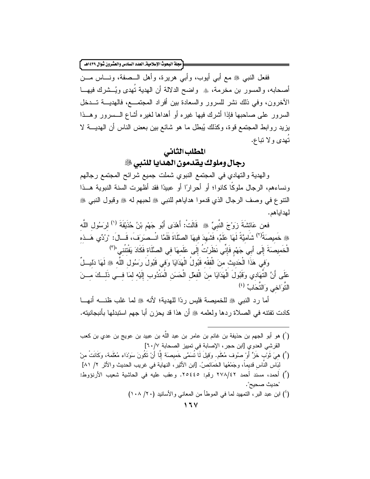.<br>مجلة البحوث الإسلامية\_ العدد السادس والعشرون شوال ١٤٣٩هـ ً

ففعل النبي ﷺ مع أبي أيوب، وأبي هريرة، وأهل الــصفة، ونـــاس مـــن أصحابه، والمسور بن مخرمة، ۞ واضح الدلالة أن الهدية نُهدى ويُــشرك فيهـــا الأخرون، وفي ذلك نشر للسرور والسعادة بين أفراد المجتمــع، فالهديـــة تـــدخل السرور على صاحبها فإذا أشرك فيها غيره أو أهداها لغيره أشاع الـــسرور وهـــذا يزيد روابط المجتمع فوة، وكذلك يُبطل ما هو شائع بين بعض الناس أن الهديـــة لا تُهدى و لا تباع.

### المطلب الثانى

#### رجال وملوك يقدمون الهدايا للنبي ﷺ

والهدية والنهادي في المجتمع النبوي شملت جميع شرائح المجتمع رجالهم ونساءهم، الرجال ملوكًا كانوا؛ أو أحر ارًا أو عبيدًا فقد أظهرت السنة النبوية هــذا النتوع في وصف الرجال الذي قدموا هداياهم للنبي ﷺ لحبهم له ﷺ وقبول النبي ﷺ لهداياهم.

فعن عَائِشَةَ زَوْجَ النَّبِيِّ ۞ قَالَتْ: أَهْدَى أَبُو جَهْم بْنُ حُذَيْفَةَ (') لرَسُول اللَّه ﴾ خَميصَةً<sup>(٢)</sup> شَاميَّةً لَهَا عَلَمٌ، فَشَهدَ فيهَا الصَّلَاةَ فَلَمَّا انْــصَرَفَ، قَــالَ: "رُدِّي هَــذه الْخَميصَةَ إِلَى أَبِي جَهْم فَإِنِّي نَظَرُتُ إِلَى عَلَمهَا في الصَّلَاة فَكَادَ يَفْتتُنِي"<sup>(٣)</sup>

وَفِي هَذَا الْحَديث منَ الْفَقْه قَبُولُ الْهَدَايَا وَفِي قَبُولَ رَسُولِ اللَّهِ ﷺ لَهَا دَليلٍ ٌ عَلَى أَنَّ النَّهَادي وَقَبُولَ الْهَدَايَا منَ الْفعْل الْحَسَنِ الْمَنْدُوبِ إِلَيْهِ لَمَا فـــى ذَلــكَ مـــنَ النَّوَ اخبى وَ النَّجَابِّ  $^{(2)}$ 

أما رد النبي ﷺ للخميصة فليس ردًا للهدية؛ لأنه ﷺ لما غلب ظنــــه أنهـــا كادت تفتنه في الصلاة ردها ولعلمه ﷺ أن هذا قد يحزن أبا جهم استبدلها بأنبجانيته.

(`) هو أبو الجهم بن حذيفة بن غانم بن عامر بن عبد الله بن عبيد بن عويج بن عدي بن كعب القرشي العدوي [ابن حجر ، الإصابة في تمييز الصحابة ٦٠/٧] (`) هيَ ثَوْبٌ خَزٍّ أَوْ صوُف مُعْلَم. وَقِيلَ لَا تُسَمَّى خَميصَة إِلَّا أَنْ تَكُونَ سَوْدَاء مُعْلَمة، وكَانَتْ منْ لبَاس النَّاس قديماً، وجَمْعُها الخَمَائصُ. [ابن الأثير، النهاية في غريب الحديث والأثر ٢/ ٨١] (أ) أحمد، مسند أحمد ٢٧٨/٤٢ رقم: ٢٥٤٤٥. وعقب عليه في الحاشية شعيب الأرنؤوط: "حديث صحيح". (') ابن عبد البر، التمهيد لما في الموطأ من المعاني والأسانيد (٢٠/ ١٠٨)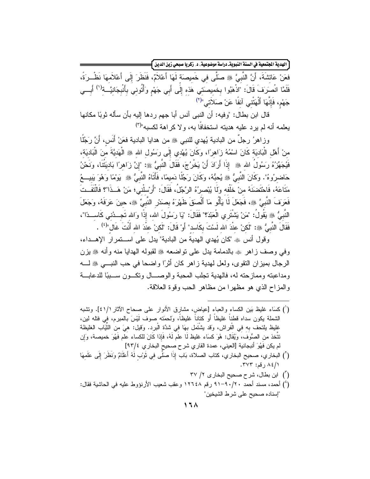ّ الهدية الجتمعية في السنة النبويةـ دراسة موضوعية، د. زكريا صبحي زين الدين <mark>}</mark>

فعَنْ عَائشَةَ، أَنَّ النَّبِيَّ ۞ صلَّى في خَميصَة لَهَا أَعْلاَمٌ، فَنَظَرَ إِلَى أَعْلاَمهَا نَظْـرَةً، فَلَمَّا انْصلَافَ قَالَ: "اذْهَبُوا بِخَمِيصَنِّي هَذِهِ إِلَى أَبِي جَهْمِ وَأْتُونِي بِأَنْبِجَانِيَّــةِ<sup>(١)</sup> أَبِــي جَهْم، فَإِنَّهَا أَلْهَتْنِي آنفًا عَنْ صَلاَتِي"<sup>(٢)</sup>

قال ابن بطال: "وفيه: أن النبي آنس أبا جهم ردها إليه بأن سأله ثوبًا مكانها يعلمه أنه لم يرد عليه هديته استخفافًا به، ولا كر اهة لكسبه"(٣)

وزِ اهرُ رجلٌ من البادية يُهدى للنبي ﷺ من هدايا البادية فعَنْ أَنَس، أَنَّ رَجُلًا ۖ مِنْ أَهْلِ الْبَادِيَةِ كَانَ اسْمُهُ زَاهِرًا، وَكَانَ يُهْدِي إِلَى رَسُول الله ﷺ الْهَديَّةَ مَنَ الْبَاديَة، فَيُجَهِّرُهُ رَسُولُ الله ﷺ إِذَا أَرَادَ أَنْ يَخْرُجَ، فَقَالَ النَّبِيُّ ﷺ: "إِنَّ زَاهِرًا بَاديَتُنَا، ونَحْنُ حَاضِرِ وهُ". وكَانَ النَّبِيُّ ۞ يُحِبُّهُ، وكَانَ رَجُلًا دَمِيمًا، فَأَتَاهُ النَّبِيُّ ۞ يَوْمًا وَهُوَ يَبِيــعُ مَتَاعَهُ، فَاحْتَضنَهُ منْ خَلْفه ولَا يُبْصرُهُ الرَّجُلُ، فَقَالَ: "أَرْسلْني؛ مَنْ هَــذَا"؟ فَالْتَفَــتَ فَعَرَفَ النَّبِيَّ ۞ فَجَعَلَ لَا يَأْلُو مَا أَلْصَقَ ظَهْرَهُ بِصدَرِ النَّبِيِّ ۞، حينَ عَرَفَهُ، وَجَعَلَ النَّبِيُّ ۞ يَقُولُ: "مَنْ يَشْتَرِي الْعَبْدَ؟" فَقَالَ: "يَا رَسُولَ الله، إذًا وَالله تَجــدُنـي كَاســـدَا"، فَقَالَ النَّبِيُّ ﷺ: "لَكنْ عنْدَ الله لَسْتَ بِكَاسد" أَوْ قَالَ: "لَكنْ عنْدَ الله أَنْتَ غَال"<sup>(٤)</sup> .

وقول أنس ﷺ "كان يُهدى الهدية من البادية" يدل على استمر ار الإهــداء، وفي وصف زاهر ۞ بالدمامة بدل على نواضعه ۞ لقبوله الهدايا منه وأنه ۞ بزن الرجال بميزان النقوى، ولعل لهدية زاهر كان أثرًا واضحا في حب النبـــي ﷺ لــــه ومداعبته ومماز حته له، فالهدية تجلب المحبة و الوصـــال وتكــون ســـببًا للدعابـــة والمزاح الذي هو مظهرا من مظاهر الحب وقوة العلاقة.

- (أ) كسَاء غليظ بَين الكساء والعباء [عياض، مشارق الأنوار على صحاح الآثار ٤١/١]. ونشبه الشملة يكون سداه قطناً غليظاً أو كتاناً غليظاً، ولحمَته صوف لَيْسَ بالمبرم، في فتله لين، غِليظ بِلنَّحف به في الْفراش، وَقد يشْتَمل بهَا في شدَّة الْبرد. وَقيل: هيَ من النُّيَاب الغليظة تتَّخذ من الصُّوفَ، ويُقَال: هُوَ كسَاء غليظ لَا علَم لَهُ، فَإِذا كَانَ للكساء عَلم فَهُوَ خميصة، وَإِن لم يكن فهُوَ أنبجانية [العيني، عمدة القاري شرح صحيح البخاري ٩٣/٤]
- (`) البخاري، صحيح البخاري، كتاب الصلاة، بَاب إِذَا صلَّى في ثَوْب لَهُ أَعْلَامٌ وَنَظَرَ إِلَى عَلَمهَا ۸٤/۱ رقم: ۳۷۳.
	- ( ٰ ) ابن بطال، شرح صحیح البخار ی ۲/ ۳۷
- (') أحمد، مسند أحمد ٩٠/٢٠-٩١ رقم ١٢٦٤٨ وعقب شعيب الأرنؤوط عليه في الحاشية فقال: "إسناده صحيح على شرط الشيخين"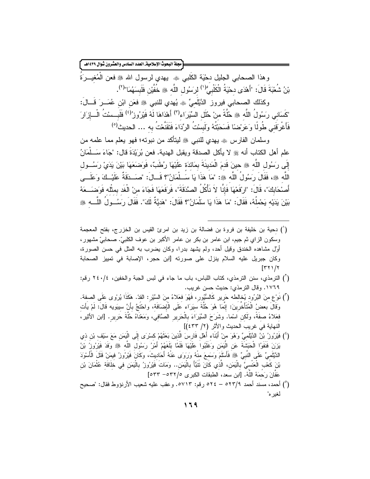مجلة البحوث الإسلامية العدد السادس والعشرون شوال ١٤٣٩هـ -وهذا الصحابي الجليل دحْيَة الكُلبي ۞ يهدي لرسول الله ۞ فعن الْمُغيـــرَةَ بْنُ شُعْبَةَ قَالَ: "أَهْدَى دحْيَةُ الْكَلْبِيُّ<sup>(١)</sup> لرسَول اللَّه ﷺ خُفَّيْن فَلَبِسَهُمَا"<sup>(٢)</sup>. وكذلك الصحابي فيروز الدَّيْلَميِّ ۞ يُهدى للنبي ۞ فعَن ابْنِ عُمَــرَ قَـــالَ:

"كَسَانِي رَسُولُ اللَّهِ ﷺ حُلَّةً مِنْ خُلَل السِّيَرَاء<sup>(٣)</sup> أَهْدَاهَا لَهُ فَيْرُوز<sup>/(٤)</sup> فَلَبِ سِنْتُ الْـــازَارَ فَأَعْر<sup>ِ</sup>قَنِي طُولًا وَعَرَضنَا فَسَحَبْتُهُ وَلَبِسُتُ الرِّدَاءَ فَتَقَنَّعْتُ به … الحديث<sup>(٥)</sup>

وسلمان الفارس ۞ يهدى للنبي ۞ ليتأكد من نبوته؛ فهو يعلم مما علمه من علم أهل الكتاب أنه ﷺ لا يأكل الصدقة ويقبل الهدية. فعن بُرِيَدَةَ قال: "جَاءَ سَــلْمَانُ إِلَى رَسُولِ اللَّهِ ۞ حينَ قَدمَ الْمَدينَةَ بِمَائدَة عَلَيْهَا رُطَبٌ، فَوَضَعَهَا بَيْنَ يَدَيْ رَسُــول اللَّه ﴾، فَقَالَ رَسُولُ اللَّه ۞: "مَا هَذَا يَا سَــلْمَانُ"؟ قَــالَ: "صـَــدَقَةٌ عَلَيْــكَ وَعَلَــى أَصنْحَابِكَ"، قَالَ: "ارْفَعْهَا فَإِنَّا لاَ نَأْكُلُ الصَّدَقَةَ"، فَرَفَعَهَا فَجَاءَ منْ الْغَد بمثّله فَوَضـَــعَهُ بَيْنَ بِدَيْه بَحْملُهُ، فَقَالَ: "مَا هَذَا يَا سَلْمَانُ"؟ فَقَالَ: "هَدِيَّةٌ لَكَ". فَقَالَ رِسَــولُ اللّـــه ﷺ

- (`) دحية بن خليفة بن فروة بن فضالة بن زيد بن امرئ القيس بن الخزرج، بفتح المعجمة وسكون الزاي ثم جيم، ابن عامر بن بكر بن عامر الأكبر بن عوف الكلبيّ. صحابيّ مشهور، أوَّل مشاهده الخندق وقيل أحد، ولم يشهد بدرًا، وكان يضرب به المثل فـي حسن الصـورة، وكان جبريل عليه السلام بنزل على صورته [ابن حجر، الإصابة في تمييز الصحابة  $[\Gamma \Upsilon \Upsilon \Upsilon \Upsilon]$
- (أ) الترمذي، سنن الترمذي، كتاب اللباس، باب ما جاء في لبس الجبة والخفين، ٢٤٠/٤ رقم: ١٧٦٩. وقال الترمذي: حديث حسن غريب.
- (") نَوْعٍ منَ البُرُودِ يُخالطه حَرِيرٍ كَالسُّيُورِ، فَهُوَ فعَلاءُ منَ السَّيْرِ: القدّ. هَكَذَا يُرْوى عَلَى الصفة. وقَالَ بعضُ الْمُتَأَخِّرِينَ: إنَّمَا هُوَ حُلَّةَ سَيَرَاء عَلَى الْإِضَافَة، واحتَجَّ بأَنَّ سيبَويه قَالَ: لَمْ يأت فعَلاءُ صفَةً، وَلَكن اسْما. وشَرَحَ السِّيَرَاءَ بِالْحَرِيرِ الصَّافيي، وَمَعْنَاهُ حُلَّةَ حَرِيرٍ. [ابن الأثير، اَلنهاية فيَ غريبَ اَلحديث والأثر (٢/ ٤٣٣)]
- (') فَيْرُوزُ بْنُ الدَّيْلَميِّ وَهُوَ منْ أَبْنَاء أَهْل فَارِسَ الَّذينَ بَعَثَهُمْ كَسْرَى إِلَى الْيَمَن مَعَ سَيْف بْن ذي يَزَنَ فَنَفَوُا الْحَبَشَةَ عَنِ الْيَمَنِ وَغَلَبُوا عَلَيْهَا فَلَمَّا بَلَغَهُمْ أَمْرُ رَسُول اللّه ﷺ وَفَدَ فَيْرُوزُ بْنُ الدَّيْلَميِّ عَلَى النَّبيِّ ۞ فَأَسْلَمَ وَسَمعَ منْهُ وَرَوَى عَنْهُ أَحَاديثَ، وكَانَ فَيْرُوزُ فيمَنْ قَتَلَ الْأَسْوَدَ بْنَ كَعْبِ الْعَنْسِيَّ بِالْيَمَنِ، الَّذي كَانَ تَتَبَّأَ بِالْيَمَنِ.. وَمَاتَ فَيْرُوزُ بِالْيَمَنِ في خلَافَة عُثْمَانَ بْن عَفَانَ رَحمَهُ اللهُ. [ابن سعد، الطبقات الكبرى ٥/٢٢٧- ٥٣٣]
- (°) أحمد، مسند أحمد ٥٢٣/٩ ٥٢٤ رقم: ٥٧١٣. وعقب عليه شعيب الأرنؤوط فقال: "صحيح لغبر ه"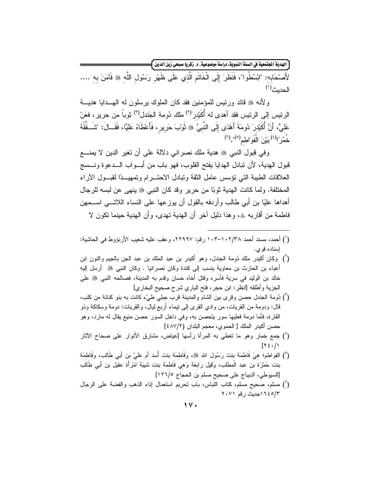ّ الهدية الجتمعية في السنة النبويةـ دراسة موضوعية، د. زكريا صبحي زين الدين <mark>}</mark>

لأَصْحَابِهِ: "ابْسُطُوا"، فَنَظَرَ إِلَى الْخَاتَمِ الَّذِي عَلَى ظَهْرٍ رَسُولِ اللَّهِ ﷺ فَآمَنَ به .... الحديث(')

و لأنه ﷺ قائد ورئيس للمؤمنين فقد كان الملوك پرسلون له الهــدايا هديـــة الرئيس إلى الرئيس فقد أهدى له أُكَيْدر<sup>79</sup> ملك دُومة الجَندل<sup>(٣)</sup> ثوباً من حرير ، فعَنْ عَليٍّ، أَنَّ أُكَبِدْرَ دُومَةَ أَهْدَى إِلَى النَّبِيِّ ۞ ثَوْبَ حَرِيرٍ ، فَأَعْطَاهُ عَليًّا، فَقَــالَ: "شَــقَقْهُ خُمُرٌ ۚ أ<sup>(٤)</sup> بَيْنَ الْغَوَ الْطَمِ<sup>(٥)</sup>". <sup>(٦)</sup>

وفي قبول النبي ﷺ هدية ملك نصراني دلالة على أن نغير الدين لا يمنـــع قبول الهدية، لأن تبادل الهدايا يفتح القلوب، فهو باب من أبـــواب الـــدعوة ونـــسج العلاقات الطيبة التبي نؤسس عامل الثقة وتبادل الاحتسرام وتمهيسةا لقبسول الأراء المختلفة. ولما كانت الهدية ثوبًا من حريرٍ وقد كان النبي ﷺ ينهي عن لبسه للرجال أهداها عليًا بن أبي طالب وأردفه بالقول أن يوزعها على النساء اللاتـــي اســـمهن فاطمة من أقاربه ۞، وهذا دليل آخر أن الهدية تهدى، وأن الهدية حينما نكون لا

- (أ) أحمد، مسند أحمد ١٠٢/٣٨-١٠٣-١٠٣ رقم: ٢٢٩٩٧، وعقب عليه شعيب الأرنؤوط في الحاشية: اسناده قوي.
- (أ) وكان أكيدر ملك دُومة الجندل، وهو أكيدر بن عبد الملك بن عبد الـجن بالـجيم والنون ابن أعباء بن الحارث بن معاوية بنسب إلى كندة وكان نصرانيا . وكان النبي ﷺ أرسل إليه خالد بن الوليد في سرية فأسره وقتل أخاه حسان وقدم به المدينة، فصالحه النبي ﷺ على الجزية وأطلقه [انظر : ابن حجر ، فتح الباري شرح صحيح البخاري]
- (أ) دُومة الجندل حصن وقرى بين الشام والمدينة قرب جبلي طيّء كانت به بنو كنانة من كلب، قال: ودومة من القريات، من وادي القرى إلى نيماء أربع ليال، والقريات: دومة وسكاكة وذو القارة، فأما دومة فعليها سور يتحصن به، وفي داخل السور حصن منيع يقال له مارد، وهو حصن أكيدر الملك [ الحموى، معجم البلدان (٤٨٧/٢)]
- (') جمع خمار وهو ما تغطي به المرأة رأسها [عياض، مشارق الأنوار على صحاح الأثار  $[Y \xi \cdot / )$
- (°) الفواطم؛ هيَ فَاطمَة بنت رَسُول الله ﷺ، وَفَاطمَة بنت أسد أم عليّ بن أبي طَالب، وَفَاطمَة بنت حَمْزَة بن عبد الْمطلب، وَقيل رَابعَة وَهي فَاطمَة بنت شيبَة امْرَأَة عقيل بن أبي طَالب [السيوطى، الديباج على صحيح مسلم بن الحجاج ١٢٦/٥]
- (`) مسلم، صحيح مسلم، كتاب اللباس، باب نحريم استعمال إناء الذهب والفضة على الرجال ١٦٤٥/٣ ددبث رقم ٢٠٧١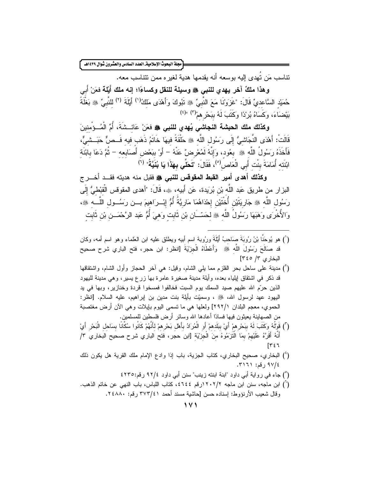.<br>مجلة البحوث الإسلامية\_ العدد السادس والعشرون شوال ١٤٣٩هـ ً

تناسب مَن نَهدي إليه بوسعه أنه بقدمها هدبة لغبر ه ممن نتناسب معه.

وهذا ملكٌ آخر يهدي للنبي ۞ وسيلة للنقل وكساءًا؛ إنه ملك أيِّلة فعَنْ أبي حُمنِدْ السَّاعديِّ قَالَ: "غَزَوْنَا مَعَ النَّبِيِّ ۞ نَبُوكَ وَأَهْدَى مَلكُ<sup>(١)</sup> أَبِلَةَ <sup>(٢)</sup> للنّبيِّ ۞ بَغْلَةً بَيْضَاءَ، وَكَسَاهُ بُرِّدًا وَكَتَبَ لَهُ بِبَحْرِ هِمْ(٢) "(٤)

وكذلك ملك الحبشة النجاشي يُهدي للنبي ﷺ فعَنْ عَائِسْتَةَ، أُمِّ الْمُسؤْمنينَ قَالَتْ: أَهْدَى النَّجَاشيُّ إِلَى رَسُول اللَّه ﷺ حَلْقَةً فيهَا خَاتَمُ ذَهَب فيه فَــصٌّ حَبَــشيٌّ، فَأَخَذَهُ رَسُولُ اللَّه ﴾ بعُود، وَإِنَّهُ لَمُعْرِضٌ عَنْهُ – أَوْ بِبَعْضِ أَصَابِعه – ثُمَّ دَعَا بابْنَة ابْنَته أُمَامَةَ بِنْت أَبِي الْعَاص<sup>(٥)</sup>، فَقَالَ: "**تَحَلِّي بِهَذَا يَا بُنَيَّةُ**" <sup>(٦)</sup>

وكذلك أهدى أمير القبط المقوقس للنبي ﷺ فقبل منه هديته فقــد أخـــرج البزار من طريق عَبد اللَّه بْن بُرِيدة، عَن أَبيه، ۞، قَالَ: "أهدى المقوقس الْقبْطيُّ إِلَى رَسُولِ اللَّهِ ، هِ جَارِيَتَيْنِ أُخْتَيْنِ إِحْدَاهُمَا مَارِيَّةُ أُمُّ إِنْــرَاهِيمَ بـــن رَسُــول اللَّـــه ، وَالأُخْرَى وَهَبَهَا رَسُولُ اللَّه ۞ لحَسّــَانِ بْنِ ثَابتٍ وَهِيَ أُمُّ عَبدِ الرَّحْمَـــنِ بْنِ ثَابت

- (`) هو يُوحَنَا بْنُ رُوبَةَ صَاحبُ أَيْلَةَ ورُوبة اسم أبيه ويطلق عليه ابن العلماء وهو اسم أمه، وكان قد صَالَحَ رَسُولَ اللَّه ﷺ وَأَعْطَاهُ الْجزْيَةَ [انظر: ابن حجر، فتح الباري شرح صحيح البخاري ٣/ ٣٤٥]
- (أ) مدينة على ساحل بحر القلزم مما يلبي الشام، وقيل: هي أخر الحجاز وأول الشام، واشتقاقها قد ذكر في اشتقاق لِيلياء بعده، وأيلة مدينة صغيرة عامرة بها زرع يسير، وهي مدينة لليهود الذين حرّم الله عليهم صيد السمك يوم السبت فخالفوا فمسخوا قردة وخنازير، وبها في يد اليهود عهد لرسول الله، ﷺ ، وسميّت بأيلة بنت مدين بن إبراهيم، عليه السلام. [انظر: الحموي، معجم البلدان ٢٩٢/١] ولعلها هي ما تسمى اليوم بايلات وهي الآن أرض مغتصبة من الصـهابنـة يـعيثون فيـها فسـادًا أعادها الله وسـائر أرض فلسطين للمسلمين.
- (") قَوْلُهُ وَكَتَبَ لَهُ بِبَحْرِهِمْ أَيْ بِبَلَدهِمْ أَوِ الْمُرَادُ بِأَهْلِ بَحْرِهِمْ لِأَنْهُمْ كَانُوا سُكَّانًا بِسَاحل الْبَحْرِ أَيْ أَنَّهُ أَقَرَّهُ عَلَيْهِمْ بِمَا الْتَرَمُوهُ منَ الْجِزْيَة [ابن حجر، فتح الباري شرح صحيح البخاري ٣/  $IT57$
- (`) البخاري، صحيح البخاري، كتاب الجزية، باب إذا وادع الإمام ملك القرية هل يكون ذلك ٩٧/٤ رقم: ٣١٦١.
	- (°) جاء في رواية أبي داود "ابنة ابنته زينب" سنن أبي داود ٩٢/٤ رقم:٤٢٣٥
- (`) ابن ماجه، سنن ابن ماجه ١٢٠٢/٢رقم ٤٦٤٤، كتاب اللباس، باب النهي عن خاتم الذهب. وقال شعيب الأرنؤوط: إسناده حسن [حاشية مسند أحمد ٣٧٣/٤١ رقم: ٢٤٨٨٠.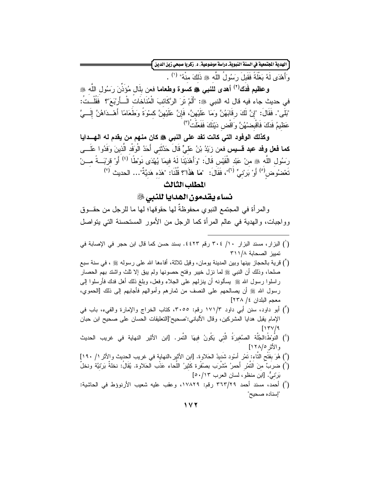ّ الهدية الجتمعية في السنة النبويةـ دراسة موضوعية، د. زكريا صبحي زين الدين ۖ

وَأَهْدَى لَهُ بَغْلَةً فَقَبِلَ رَسُولُ اللَّه ﷺ ذَلِكَ مِنْهُ" <sup>(١)</sup> .

وعظيم فَدَك (٢) أهدى للنبي ، ها كسوة وطعاما فعن بلَّال مُؤذنَ رَسُول الله ، في حديث جاء فيه قال له النبي ﷺ: "أَلَمْ تَرَ الرَّكَائِبَ الْمُنَاخَاتِ الْـــأَرِبَعَ"؟ ۖ فَقُلْــتُ: "بَلَى". فَقَالَ: "إنَّ لَكَ رقَابَهُنَّ وَمَا عَلَيْهِنَّ، فَإِنَّ عَلَيْهِنَّ كسْوَةً وَطَعَامًا أَهْــدَاهُنَّ إِلَـــيَّ عَظيمُ فَدَكَ فَاقْبِصْهُنَّ وَاقْض دَيْنَكَ فَفَعَلْتُ<sup>(٣)</sup>

وكذلك الوفود التي كانت تفد على النبي ﷺ كان منهم من يقدم له الهـــدايا **كما فعل وفد عبد قـــيس ف**عن زِيّدُ بْنُ عَلَيٍّ قَالَ حَدَّثَني أَحَدُ الْوَفْد الّذينَ وَفَدُوا عَلَـــي رَسُولِ اللَّهِ ﷺ مِنْ عَبْدِ الْقَيْسِ قَالَ: "وَأَهْدَيْنَا لَهُ فيمَا يُهْدَى نَوْطًا <sup>(٤)</sup> أَوْ قربْـــةً مـــنْ تَعْضُوض<sup>(٥)</sup> أَوْ بَر<sub>ِ</sub>نْبٍّ <sup>(٦)</sup>"، فَقَالَ: "مَا هَذَا"؟ قُلْنَا: "هَذه هَديَّةٌ"… الحديث <sup>(٧)</sup>

#### المطلب الثالث

نساء يقدمون الهدايا للنبي ﷺ

و المر أة في المجتمع النبو ي محفوظةٌ لها حقوقها؛ لها ما للرجل من حقـــوق وواجبات، والهدية في عالم المرأة كما الرجل من الأمور المستحسنة التي يتواصل

- (') البزار ، مسند البزار ١٠/ ٣٠٤ رقم ٤٤٢٣. بسند حسن كما قال ابن حجر في الإصابة في تمييز الصحابة ٣١١/٨
- (`) قرية بالحجاز بينها وبين المدينة يومان، وقيل ثلاثة، أفاءها الله على رسوله ﷺ ، في سنة سبع صلحًا، وذلك أن النبي ﷺ لما نزل خَيْبَر وفَتَحَ حَصَوْنَهَا وَلَمْ يَبْقَ إِلَّا نَلْتُ وَاشْتَدْ بَهْم الحصار ر اسلوا رسول الله ﷺ بِسألونه أن ينزلهم على الجلاء وفعل، وبلغ ذلك أهل فدك فأرسلوا إلى رسول الله ﷺ أن يصالحهم على النصف من ثمارهم وأموالهم فأجابهم إلى ذلك [الحموي، معجم البلدان ٤/ ٢٣٨]
- (أ) أبو داود، سنن أبي داود ١٧١/٣ رقم: ٣٠٥٥، كتاب الخراج والإمارة والفيء، باب في الإمام يقبل هدايا المشركين، وقال الألباني:"صحيح"[النعليقات الحسان على صحيح ابن حبان  $[17 \text{V}/9]$
- (') النَّوْطُ:الجُلَّة الصَّغيرِدَةُ الَّتي يَكُونُ فيهَا النَّمر. [ابن الأثير النهاية في غريب الحديث والأثر ١٢٨/٥]
- (°) هُوَ بفَتْحِ النَّاء: نَمْرٍ أَسْود شَديدُ الحَلاوة. [ابن الأثير،النهاية في غريب الحديث والأثر ١/ ١٩٠] (`) ضربٍّ منَ التَّمْرِ أَحمرُ مُشْرَبٍ بصنُفْرة كَثيرُ اللَّحاء عَذْبِ الحَلاوة. يُقَالُ: نخلةٌ بَرئيَّة ونخلٌ بَرْنِيٌّ. [ابن منظو، لسان العرب ٥٠/١٣]
- (``) أحمد، مسند أحمد ٣٦٣/٢٩ رقم: ١٧٨٢٩، وعقب عليه شعيب الأرنوؤط في الحاشية: "إسناده صحيح"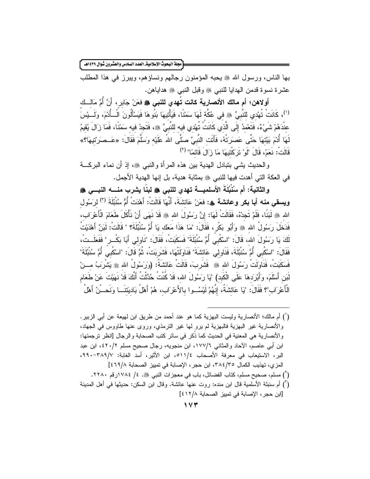مجلة البحوث الإسلاميةـ العدد السادس والعشرون شوال ١٤٣٩هـ ً

بها الناس، ورسول الله ﷺ يحبه المؤمنون رجالهم ونساؤهم، ويبرز في هذا المطلب عشرة نسوة قدمن الهدايا للنبي ﷺ وقبل النبي ﷺ هداياهن.

أولاهن؛ أم مالك الأنصارية كانت تُهدي للنبي ﷺ فعَنْ جَابِرٍ ، أَنَّ أُمَّ مَالِّــك ('')، كَانَتْ تُهْدي للنَّبِيِّ ۞ في عُكَّة لَهَا سَمْنًا، فَيَأْتِيهَا بَنُوهَا فَيَسْأَلُونَ الْــأَدْمَ، ولَــنِسَ عنْدَهُمْ شَيْءٌ، فَتَعْمدُ إِلَى الَّذي كَانَتْ نُهْدي فيه للنَّبيِّ ﷺ، فَتَجدُ فيه سَمْنًا، فَمَا زَالَ يُقيمُ لَهَا أُدْمَ بَيْتَهَا حَتَّى عَصرَتْهُ، فَأَتَت النَّبِيَّ صَلَّى اللهُ عَلَيْه وَسَلَّمَ فَقَالَ: «عَــصرَتتيهَا؟» قَالَتْ: نَعَمْ، قَالَ "لَوْ تَرَكْتِيهَا مَا زَالَ قَائمًا" (٢)

والحديث بِشي بتبادل الهدية بين هذه المرأة والنبي ﷺ، إذ أن نماء البركـــة في العكة التي أهدت فيها للنبي ۞ بمثابة هدية، بل إنها الهدية الأجمل.

والثانية: أم سُنْبُلَةَ الأسلميــــة تهدى للنبي ﷺ لبنًا يشرب منـــــه النبـــي ﷺ و**يسقى منه أبا بكر وعائشة ۞: ف**عَنْ عَائشَةَ، أَنَّهَا قَالَتْ: أَهْدَتْ أُمُّ سُنْبُلَةَ <sup>(٢)</sup> لرَسُول الله ﷺ لَبَنَّا، فَلَمْ تَجِدْهُ، فَقَالَتْ لَهَا: إِنَّ رَسُولَ الله ﷺ قَدْ نَهَى أَنْ نَأْكَلَ طَعَامَ الْأَعْرَاب، فَدَخَلَ رَسُولُ الله ﷺ وَأَبُو بَكْرٍ ، فَقَالَ: "مَا هَذَا مَعَك يَا أُمَّ سُنُبُلَةَ؟ " قَالَتْ: لَبَنٌ أَهْدَيْتُ لَكَ يَا رَسُولَ الله، قَالَ: "اسْكُبِي أُمَّ سُنْبُلَةَ" فَسَكَبَتْ، فَقَالَ: "نَاولِي أَبَا بَكْــر" فَفَعَلَــتْ، فَقَالَ: "اسْكُبي أُمَّ سُنْبُلَةَ، فَنَاولي عَائشَةَ" فَنَاوَلَتْهَا، فَشَرِبَتْ، ثُمَّ قَالَ: "اسْكُبى أُمَّ سُنْبُلَةَ" فَسَكَبَتْ، فَنَاوَلَتْ رَسُولَ الله ﷺ فَشَرِبَ، قَالَتْ عَائِشَةُ: (وَرَسُولُ الله ﷺ يَشْرَبُ مـــنْ لَبَنِ أَسْلَمَ، وَأَبْرِدَهَا عَلَى الْكَبد) "يَا رَسُولَ الله، قَدْ كُنْتُ حُدِّثْتُ أَنَّكَ قَدْ نَهَيْتَ عَنْ طَعَام الْأَعْرَاب"؟ فَقَالَ: "يَا عَائِشَةُ، إِنَّهُمْ لَيْسُــوا بـالأَعْرَاب، هُمْ أَهْلُ بَاديَتنَـــا وَنَـحـــنُ أهْلُ

(') أم مالك؛ الأنصارية وليست البهزية كما هو عند أحمد من طريق ابن لهيعة عن أبي الزبير. والأنصارية غير البهزية فالبهزية لم يرو لها غير النرمذي، وروى عنها طاووس في الجهاد، والأنصارية هي المعنية في الحديث كما ذُكر في سائر كتب الصحابة والرجال [انظر ترجمتها: ابن أبي عاصم، الأحاد والمثاني ١٧٧/٦، ابن منجويه، رجال صحيح مسلم ٤٢٠/٢، ابن عبد البر، الاستيعاب في معرفة الأصحاب ١١/٤ه، ابن الأثير، أسد الغابة: ٣٨٩/٧-٩٩٠، المزي، تهذيب الكمال ٣٨٤/٣٥، ابن حجر ، الإصابة في تمييز الصحابة ٤٦٩/٨؛ ] (أ) مسلم، صحيح مسلم، كتاب الفضائل، باب في معجز ات النبي ﷺ. ٤/ ١٧٨٤(رقم ٢٢٨٠. (أ) أم سنبلة الأسلمية قال ابن منده: روت عنها عائشة. وقال ابن السكن: حديثها في أهل المدينة [ابن حجر ، الإصابة في تمييز الصحابة ٤١٢/٨]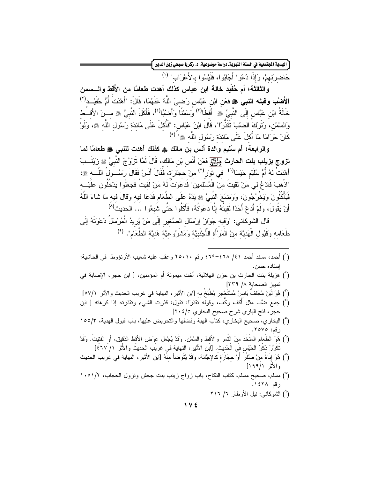.<br>الهدية ا<del>لجنّعية في السنة النبوية.</del> دراسة موضوعية، د. زكريا صبحي زين الدين <mark>]</mark>

حَاضرتهمْ، وَإِذَا دُعُوا أَجَابُوا، فَلَيْسُوا بِالأَعْرَابِ" (')

والثالثة؛ أم حُفْيِد خالة ابن عباس كذلك أهدت طعامًا من الأَقط والــــسمن الأَضْبُ وقبله النبي ﷺ فعَن ابْن عَبَّاس رَضـيَ اللَّهُ عَنْهُمَا، قَالَ: "أَهْدَتْ أُمُّ حُفَيْــد<sup>(٢)</sup> خَالَةُ ابْنِ عَبَّاسٍ إِلَى النَّبِيِّ ﴾ أَقَطَّا<sup>(٣)</sup> وَسَمْنًا وَأَضنُبًّا<sup>(٤)</sup>، فَأَكَلَ النَّبِيُّ ۞ مـــنَ الأَقـــط وَالسَّمْنِ، وَتَرَكَ الضَّبَّ تَقَذَّرَا"، قَالَ ابْنُ عَبَّاس: "فَأُكِلَ عَلَى مَائدَة رَسُول اللَّه ﷺ، ولَوْ كَانَ حَرَامًا مَا أُكْلَ عَلَى مَائدَة رَسُول اللَّه ﷺ" <sup>(٥)</sup>

والرابعة؛ أم سُليم والدة أنس بن مالك ﴾ كذلك أهدت للنبي ۞ طعامًا لما **تزوج بزينب بنت الحارث** <del>وٰئِقَا</del> فعَنْ أَنَس بْن مَالك، قَالَ لَمَّا تَزَوَّجَ النَّبِيُّ ﷺ زَيْنَــبَ أَهْدَتْ لَهُ أُمُّ سُلَيْم حَيْسًا<sup>(٦)</sup> في تَورْ <sup>(٧)</sup> منْ حجَارَة، فَقَالَ أَنَسٌ فَقَالَ رَسُــولُ اللَّـــه ﷺ: "اذْهَبْ فَادْعُ لي مَنْ لَقيتَ منْ الْمُسْلَمينَ" فَدَعَونتُ لَهُ مَنْ لَقيتُ فَجَعَلُوا يَدْخُلُونَ عَلَيْــه فَيَأْكُلُونَ وَيَخْرُجُونَ، وَوَضَعَ النَّبِيُّ ﴾ يَدَهُ عَلَى الطَّعَامِ فَدَعَا فِيهِ وَقَالَ فِيهِ مَا شَاءَ اللّهُ أَنْ يَقُولَ، ولَمْ أَدَعْ أَحَدًا لَقيتُهُ إِلَّا دَعَوْتُهُ، فَأَكَلُوا حَتَّى شَبَعُوا … الحديث<sup>(٨)</sup>

قال الشوكاني: "وَفِيهِ جَوَازُ إِرْسَالِ الصَّغيرِ إِلَى مَنْ يُرِيدُ الْمُرْسَلُ دَعْوَتَهُ إِلَى طَعَامه وَقَبُول الْهَديَّة منْ الْمَرْأَة الْأَجْنَبِيَّة وَمَشْرُوعيَّة هَديَّة الطَّعَام". <sup>(٩)</sup>

- (أ) أحمد، مسند أحمد ٤١/ ٤٦٨-٤٦٩ رقم ٢٥٠١٠ وعقب عليه شعيب الأرنؤوط في الحاشية: إسناده حسن.
- (`) هزيلة بنت الحارث بن حزن الهلالية، أخت ميمونة أم المؤمنين، [ ابن حجر، الإصابة في تمييز الصحابة ١/ ٣٣٩]
- (") هُوَ لَبَنٌ مُجَففٌ يَابِسٌ مُسْتَحْجِرٍ يُطْبَخُ بِهِ [ابن الأثيرِ ، النهاية في غريب الحديث والأثر ٥٧/١]
- (') جمع ضَّب مثل أكف وكَّفَ، وقوله نقذرَا: نقول: قذرت الشيء ونقذرنه إذا كرهنه [ ابن حجر ، فتح الباري شرح صحيح البخاري ٢٠٤/٥]
- (°) البخاري، صحيح البخاري، كتاب الهبة وفضلها والتحريض عليها، باب قبول الهدية، ١٥٥/٣ رقم: ٢٥٧٥.
- (`) هُوَ الطَّعام المتَّخَذ منَ النَّمر والأقط والسَّمْن. وَقَدْ يُجْعل عوَض الأقط الدَّقيق، أَو الفَتيتُ. وقَدْ تَكَرَّرَ ذكْرُ الحَسْ، في الْحَديث. [ابن الأثير، النهاية في غريب الحديثُ والأُثر ١/ ٤٦٧]
- (``) هُوَ إِنَاءَ منْ صُفْرٍ أَوْ حجَارَة كالإجَّانة، وَقَدْ يُتَوضأ منْهُ [ابن الأثبر ، النهاية في غريب الحديث والأثر ١٩٩/١]
- (^) مسلم، صحيح مسلم، كتاب النكاح، باب زواج زينب بنت جحش ونزول الحجاب، ١٠٥١/٢ رقم ١٤٢٨.
	- (") الشوكاني: نبل الأوطار ٦/ ٢١٦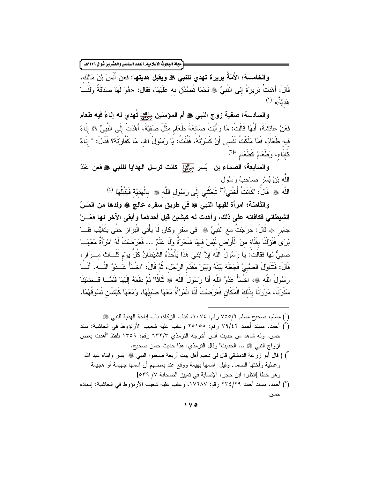.<br>مجلة البحوث الإسلامية\_العدد السادس والعشرون شوال ١٤٣٩هـ |

والخامسة؛ الأَمَةُ بريرة تهدي للنبي ﷺ ويقبل هديتها: فعن أَنَسَ بْنَ مَالكَ، قَالَ: أَهْدَتْ بَرِيرَةُ إِلَى النَّبِيِّ ﷺ لَحْمًا تُصُدِّقَ بِهِ عَلَيْهَا، فَقَال: «هُوَ لَهَا صدَقَةٌ ولَنَــا هَديَّةٌ» (۱)

والسادسة؛ صفية زوج النبي ﷺ أم المؤمنين جَنِّيَّا تَهدي له إناءً فيه طعام فعَنْ عَائِشَةَ، أَنَّهَا قَالَتْ: مَا رَأَيْتُ صَانِعَةَ طَعَام مِثْلَ صَفِيَّةَ، أَهْدَتْ إِلَى النَّبِيِّ ﷺ إِنَاءً فيه طَعَامٌ، فَمَا مَلَكْتُ نَفْسي أَنْ كَسَرَتُهُ، فَقُلْتُ: يَا رَسُولَ الله، مَا كَفَّارَتُهُ؟ فَقَالَ: " إنَاءٌ كَانِيَاء، وَطَعَامٌ كَطَعَامِ "(٢)

والسابعة؛ الصماء بن بُسرٍ جَلِّيَّتٍي كانت ترسل الهدايا للنبي ﷺ فعن عَبْدُ الله بْنُ بُسْرٍ صَاحبُ رَسُول اللَّه ﴾ قَالَ: "كَانَتْ أُخْتى<sup>(٣)</sup> نَبْعَثُنى إِلَى رَسُول اللَّه ۞ بِالْهَدِيَّة فَيَقْبَلُهَا <sup>(٤)</sup>

والثامنة؛ امرأة لقيها النبي ﷺ في طريق سفره عالج ﷺ ولدها من المَسّ الشيطاني فكافأته على ذلك، وأهدت له كبشين قبل أحدهما وأبقى الآخر لها فعَـــنْ جَابِرِ ﴾ قَالَ: خَرَجْتُ مَعَ النَّبِيِّ ۞ في سَفَرٍ وَكَانَ لَا يَأْتِي الْبَرَازَ حَتَّى يَتَغَيَّبَ فَلَــا يُرِي فَنَزِلْنَا بِفَلَاة منَ الْأَرْضِ لَيْسَ فِيهَا شَجَرَةٌ وَلَا عَلَمٌ … فَعَرَضتْ لَهُ امْرَأَةٌ مَعَهَــا صنبيٌّ لَهَا فَقَالَتْ: يَا رَسُولُ اللَّه إنَّ ابْني هَذَا يَأْخُذُهُ الشَّيْطَانُ كُلَّ يَومْ ثَلَــاثَ مـــرَار ، قَالَ: فَتَنَاولَ الصَّبِيَّ فَجَعَلَهُ بَيْنَهُ وَبَيْنَ مُقَدَّمِ الرَّحْلِ، ثُمَّ قَالَ: "اخْسَأْ عَــدُوّ اللَّـــه، أَنَـــا رَسُولُ اللَّه ﷺ، اخْسَأْ عَدُوَّ اللَّه أَنَا رَسُولَ اللَّه ﷺ ثَلَاثًا" ثُمَّ دَفَعَهُ إِلَيْهَا فَلَمَّــا قَــضَيْنَا سَفَرَنَا، مَرَرُنَا بِذَلِكَ الْمَكَانِ فَعَرَضَتْ لَنَا الْمَرْأَةُ مَعَهَا صَبَيُّهَا، ومَعَهَا كَبْشَان تَسُوقُهُمَا،

(`) مسلم، صحيح مسلم ٧/٥٥٥ رقم: ١٠٧٤، كتاب الزكاة، باب اياحة الهدية للنبي ﷺ

- (أ) أحمد، مسند أحمد ٧٩/٤٢ رقم: ٢٥١٥٥ وعقب عليه شعيب الأرنؤوط في الحاشية: سند حسن. وله شاهد من حديث أنس أخرجه الترمذي ٦٣٢/٣ رقم: ١٣٥٩ بلفظ "أهدت بعض أزواج النبي ﷺ ... الحديث" وقال النرمذي: هذا حديث حسن صحيح. ") ) قال أبو زرعة الدمشقي قال لي دحيم أهل بيت أربعة صحبوا النبي ﷺ بسر وابناه عبد الله وعطية وأختها الصماء وقيل اسمها بهيمة ووقع عند بعضهم أن اسمها جهيمة أو هجيمة وهو خطأ [انظر : ابن حجر ، الإصابة في نمييز الصحابة ٧/ ٥٣٩]
- (') أحمد، مسند أحمد ٢٣٤/٢٩ رقم: ١٧٦٨٧، وعقب عليه شعيب الأرنؤوط في الحاشية: إسناده حسن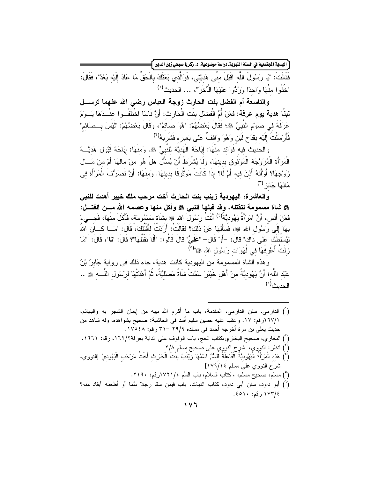ِّ الهدية المجتمعية في السنة النبويةـ دراسة موضوعية، د. زكريا صبحي زين الدين <mark>)</mark>

فَقَالَتْ: "يَا رَسُولَ اللَّه اقْبَلْ منِّي هَدِيَّتي، فَوَالَّذي بَعَثَكَ بِالْحَقِّ مَا عَادَ إِلَيْهِ بَعْدُ"، فَقَالَ: "خَذُو ا مِنْهَا وَاحِدًا وَرَبُّو ا عَلَيْهَا الْآخَرَ "، ... الحديث<sup>(י)</sup>

والتاسعة أم الفضل بنت الحارث زوجة العباس رضي الله عنهما ترســل **لبنًا هدية يوم عرفة: ف**عَنْ أُمِّ الْفَضلْ بنْت الْحَارِث: أَنَّ نَاسًا اخْتَلَفُــوا عنْــدَهَا يَــوْمَ عَرَفَةَ في صوَمِ النَّبِيِّ ۞؛ فَقَالَ بَعْضُهُمْ: "هُوَ صَائِمٌ"، وقَالَ بَعْضُهُمْ: "لَيْسَ بِــصَائم" فَأَرْسَلْتُ إِلَيْه بِقَدَحٍ لَبَنٍ وَهُوَ وَاقِفٌ عَلَى بَعيرِه فَشَرِبَهُ<sup>(٢)</sup>

والحديث فيه فَوَائد مِنْهَا: إِبَاحَة الْهَدِيَّة لِلنَّبِيِّ ۞. وَمِنْهَا: إِبَاحَة قَبُول هَدِيَّــة الْمَرْأَة الْمُزَوَّجَة الْمَوْثُوق بدينهَا، ولَما يُشْرَطُ أَنْ يُسْأَل هَلْ هُوَ منْ مَالهَا أَمْ من مَـــال زِوَجِهَا؟ أَوْأَنهُ أَذنَ فيه أَمْ لَا؟ إِذَا كَانَتْ مَوْثُوفًا بدينهَا. وَمنْهَا: أَنَّ تَصَرَفُ الْمَرْأَة في مَالْمَا جَائز <sup>(۳)</sup>

والعاشرة؛ اليهودية زينب بنت الحارث أخت مرحب ملك خيبر أهدت للنبي ، فقد شاة مسمومة لتقتله، وقد قبلها النب*ي ﴿* وأكل منها وعصمه الله مـــن القتـــل: فعَنْ أَنَس، أَنَّ امْرَأَةً يَهُوديَّةً<sup>(٤)</sup> أَتَتْ رَسُولَ الله ﷺ بشَاة مَسْمُومَة، فَأَكَلَ منْهَا، فَجـــيءَ بهَا إِلَى رَسُول الله ﷺ، فَسَأَلَهَا عَنْ ذَلَكَ؟ فَقَالَتْ: أَرَدْتُ لِأَقْتُلَكَ، قَالَ: "مَــا كَـــأنَ اللهُ لَيُسَلِّطَكَ عَلَى ذَاكَ" قَالَ: –أَوْ قَال– "عَلَىَّ" قَالَ قَالُوا: "أَلَا نَقْتُلُهَا"؟ قَالَ: "لَما"، قَالَ: آمَا زِلْتُ أَعْرِفُهَا في لَهَوَات رَسُولِ الله ﷺ"<sup>(٥)</sup>

وهذه الشاة المسمومة من اليهودية كانت هدية، جاء ذلك في رواية جَابرُ بْنُ عَبْد اللَّه؛ أَنَّ يَهُوديَّةً منْ أَهْل خَيْبَرَ سَمَّتْ شَاةً مَصلَّيَّةً، ثُمَّ أَهْدَتْهَا لرَسُول اللَّـــه ﷺ .. الحديث<sup>(٢)</sup>

(') الدارمي، سنن الدارمي، المقدمة، باب ما أكرم الله نبيه من إيمان الشجر به والبهائم، ١/١٦٧(رقم: ١٧. وعقب عليه حسين سليم أسد في الحاشية: صحيح بشواهده، وله شاهد من حديث يعلى بن مر ة أخرجه أحمد في مسنده ٢٩/٩ –٣١ رقم: ١٧٥٤٨. (`) البخاري، صحيح البخاري،كتاب الحج، باب الوقوف على الدابة بعرفة٢/١٦٢، رقم: ١٦٦١. (أ) انظر: النووي، شرح النووِي على صحيح مسلم ٢/٨ (') هَذِهِ الْمَرْأَةُ الْيَهُودِيَّةُ الْفَاعِلَةُ لِلسُّمِّ اسْمُهَا زِيَّنَبُ بِنْتُ الْحَارِث أُخْتُ مَرْحَب الْيَهُوديِّ [النووي، شرح النووي على مسلم ١٧٩/١٤] (°) مسلم، صحيح مسلم، ، كتاب السلام، باب السُّم ١٧٢١/٤زقم: ٢١٩٠. (`) أبو داود، سنن أبي داود، كتاب الديات، باب فيمن سقا رجلا سُما أو أطعمه أيقاد منه؟ ١٧٣/٤ رقم: ٤٥١٠.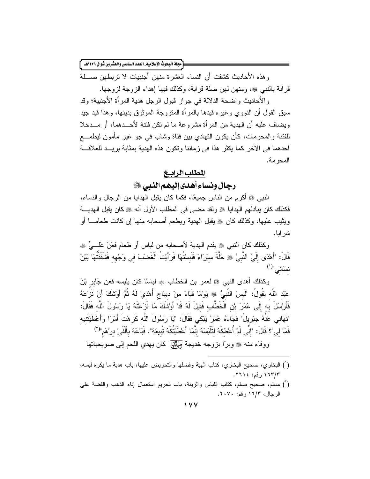[مجلة البحوث الإسلامية\_ العدد السادس والعشرون شوال ١٤٣٩هـ ]

و هذه الأحاديث كشفت أن النساء العشر ة منهن أجنبيات لا تر بطهن صــــلة قر ابـة بـالنبـي ﷺ، و منـهن لـهن صـلـة قر ابـة، وكذلك فيـها إهداء الز و جـة لز و جـها.

والأحاديث واضحة الدلالة في جواز قبول الرجل هدية المرأة الأجنبية؛ وقد سبق القول أن النووي وغيره قيدها بالمرأة المتزوجة الموثوق بدينها، وهذا قيد جيد ويضاف عليه أن الهدية من المر أة مشر وعة ما لم تكن فتنة لأحـــدهما، أو مـــدخلا للفتنة والمحرمات، كأن يكون النهادي بين فتاة وشاب في جو غير مأمون ليطمـــع أحدهما في الآخر كما يكثر هذا في زماننا ونكون هذه الهدية بمثابة بريــد للعلاقـــة المحر مة.

#### المطلب الرابيع

رجال ونساء أهدى إليهم النبي

النبي ﷺ أكرم من الناس جميعًا، فكما كان يقبل الهدايا من الرجال والنساء، فكذلك كان ببادلهم الهدايا ﷺ ولقد مضبي في المطلب الأول أنه ﷺ كان يقبل الهديسة وبثيب عليها، وكذلك كان ﷺ يقبل الهدية ويطعم أصحابه منها إن كانت طعامـــا أو شر اپا.

وكذلك كان النبي ﷺ يقدم الهدية لأصحابه من لباس أو طعام فعَنْ عَلَـــيٍّ ۞ قَالَ: "أَهْدَى إِلَيَّ النَّبِيُّ ۞ خُلَّةَ سيَرَاءَ فَلَبِسْتَهَا فَرَأَيْتَ الْغَضنَبَ في وَجْهه فَشُقَقْتُهَا بَيْنَ نسَائی"(۱)

وكذلك أهدى النبي ﷺ لعمر بن الخطاب ۞ لباسًا كان بلبسه فعن جَابر بْنَ عَبْدِ اللّهِ يَقُولُ: "لَبِسَ النّبيُّ ﷺ يَوْمًا قَبَاءً مِنْ دِيبَاجٍ أُهْدِيَ لَهُ ثُمَّ أَوْشَكَ أَنْ نَزَعَهُ فَأَرْسلَ به إِلَى عُمَرَ بْنِ الْخَطَّابِ فَقيلَ لَهُ قَدْ أَوْسْكَ مَا نَزَعْتَهُ يَا رَسُولَ اللّه فَقَالَ: "نَهَاني عَنْهُ جبْريلُ" فَجَاءَهُ عُمَرُ يَبْكي فَقَالَ: "يَا رَسُولَ اللَّه كَرهْتَ أَمْرًا وَأَعْطَيْتَنيه فَمَا لَى"؟ قَالَ: "إِنِّي لَمْ أُعْطٰكَهُ لنَلْبَسَهُ إِنَّمَا أَعْطَيْتُكَهُ تَبِيعُهُ". فَبَاعَهُ بأَلْفَىْ درْهَم"<sup>(٢)</sup> ووفاء منه ﷺ وبرًا بزوجه خديجة وَ لِللهِ كان يهدي اللحم إلى صويحباتها

- (`) البخار ي، صحيح البخار ي، كتاب الهبة وفضلها والتحريض عليها، باب هدية ما يكر ه لبسه، ١٦٣/٣ رقم: ٢٦١٤.
- (أ) مسلم، صحيح مسلم، كتاب اللباس والزينة، باب نحريم استعمال إناء الذهب والفضة على الرجال، ١٦/٣, قم: ٢٠٧٠.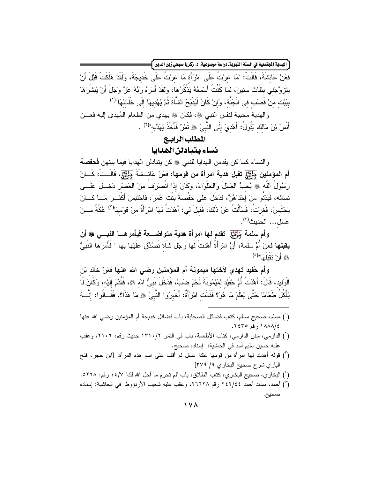[ الهدية الجنّعية في السنة النبويةـ دراسة موضوعية، د. زكريا صبحي زين الدين <mark>}</mark>

فعَنْ عَائشَةَ، قَالَتْ: "مَا غرْتُ عَلَى امْرَأَة مَا غرْتُ عَلَى خَديجَةَ، وَلَقَدْ هَلَكَتْ قَبْلَ أَنْ يَتَزَوَّجَني بِثَلَاثٍ سنينَ، لمَا كُنْتُ أَسْمَعُهُ يَذْكُرُهَا، ولَقَدْ أَمَرَهُ رَبُّهُ عَزَّ وَجَلّ أَنْ يُبَشّرَهَا بِبَيْت منْ قَصَبَ في الْجَنَّة، وَإِنْ كَانَ لَيَذْبَحُ الشَّاةَ ثُمَّ يُهْدِيهَا إِلَى خَلَائلهَا"<sup>(١)</sup>

والهدية محببة لنفس النبي ۞، فكان ۞ يهدي من الطعام المُهدى إليه فعـــن أَنَسَ بْنَ مَالك يَقُولُ: أُهْديَ إِلَى النَّبِيِّ ﷺ تَمْرٌ ۚ فَأَخَذَ بُهَدِّيه"(٢) .

# المطلب الرابيع نساء يتبادلن الهدايا

والنساء كما كن بقدمن الهدايا للنبي ﷺ كن بِتبادلن الهدايا فيما بينهن **فحفصة** أم المؤمنين جَلِّيَّتٍي تقبل هدية امرأة من قومها: فعَنْ عَائــشَةَ جَلِّيَّتٍ، قَالَــتْ: كَـــانَ رَسُولُ اللَّه ۞ يُحبُّ العَسلَ وَالطَّوَاءَ، وكَانَ إِذَا انْصرَفَ منَ العَصْرِ دَخَــلَ عَلَـــى نسَائه، فَيَدْنُو منْ إِحْدَاهُنَّ، فَدَخَلَ عَلَى حَفْصَةَ بِنْت عُمَرَ، فَاحْتَبَسَ أَكْثَـــرَ مَـــا كَـــانَ يَحْتَبِسَ)، فَغرنْتُ، فَسَأَلْتُ عَنْ ذَلكَ، فَقيلَ لي: أَهْدَتُ لَهَا امْرَأَةٌ منْ قَوْمهَا<sup>(٣)</sup> عُكَّةً مـــنْ عَسَل... الحديث<sup>(٤)</sup>.

وأم سلمة جَرَّسَتِي تقدم لها امرأة هدية متواضـــعة فيأمرهـــا النبـــي ﷺ أن **بِقبِلها** فعَنْ أُمِّ سلَمَةَ، أَنَّ امْرَأَةً أَهْدَتْ لَهَا رِجْلَ شَاة تُصنُدِّقَ عَلَيْهَا بِهَا " فَأَمَرَهَا النَّب*يُّ* هُ أَنْ نَقْبَاَ مَا"<sup>(٥)</sup>

وأم حُفيد تهدي لأختها ميمونـة أم المؤمنين رضـى الله عنـها فعَنْ خَالد بْن الْوِلِيدِ، قَالَ: أَهْدَتْ أُمُّ حُفَيْدِ لِمَيْمُونَةَ لَحْمَ ضَبٍّ، فَدَخَلَ نَبِيُّ اللهِ ﷺ، فَقُدِّمَ إِلَيْهِ، وَكَانَ لَما يَأْكُلُ طَعَامًا حَتَّى يَعْلَمَ مَا هُوَ؟ فَقَالَت امْرَأَةٌ: أَخْبِرُوا النَّبِيَّ ۞ مَا هَذَا؟، فَقَــالُوا: إنّـــهُ

- (') مسلم، صحيح مسلم، كتاب فضائل الصحابة، باب فضائل خديجة أم المؤمنين رضى الله عنها ١٨٨٨/٤ رقم ٢٤٣٥.
- (`) الدارمي، سنن الدارمي، كتاب الأطعمة، باب في النمر ١٣١٠/٢ حديث رقم: ٢١٠٦، وعقب عليه حسين سليم أسد في الحاشية: [إسناده صحيح.
- (أ) قوله أهدت لها امرأة من قومها عكة عسل لم أقف على اسم هذه المرأة. [ابن حجر، فتح الباري شرح صحيح البخاري ٩/ ٣٧٩]
- (') البخاري، صحيح البخاري، كتاب الطلاق، باب "لم تحرم ما أحل الله لك" ٤٤/٧ رقم: ٥٢٦٨.
- (°) أحمد، مسند أحمد ٢٤٢/٤٤ رقم ٢٦٦٦٨، وعقب عليه شعيب الأرنؤوط في الحاشية: إسناده صحيح.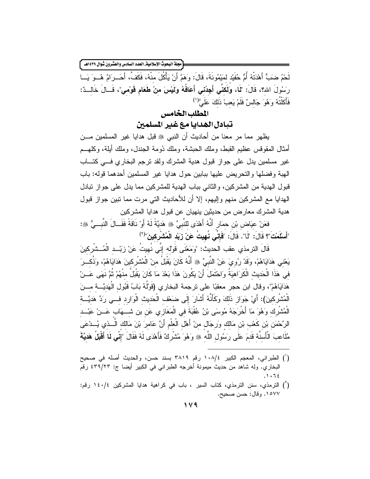<sup>"</sup>مجلة البحوث الإسلامية\_ العدد السادس والعشرون شوال ١٤٣٩هـ |

لَحْمُ ضنبٍّ أَهْدَتْهُ أُمُّ حُفَيْد لمَيْمُونَةَ، قَالَ: وَهَمَّ أَنْ يَأْكُلَ منْهُ، فَكَفَّ، أَحَــرَامٌ هُــوَ يَــا رَسُولَ الله؟، قَالَ: "لَما، وَلَكنِّي أَجِدُني أَعَافُهُ وَلَيْسَ منْ طَعَام قَوْمي"، قَــالَ خَالــدٌ: فَأَكَلْتُهُ وَهُوَ جَالسٌ فَلَمْ يَعبْ ذَلكَ عَلَىَّ ( ا

# المطلب الخامس

تبادل الهدايا مع غير المسلمين

يظهر مما مر معنا من أحاديث أن النبي ﷺ قبل هدايا غير المسلمين مـــن أمثال المقوقس عظيم القبط، وملك الحبشة، وملك دُومة الجندل، وملك أبلة، وكلهـــم غير مسلمين يدل على جواز قبول هدية المشرك ولقد نرجم البخاري فسي كتـــاب الهبة وفضلها والتحريض عليها ببابين حول هدايا غير المسلمين أحدهما قوله: باب قبول الهدية من المشركين، والثاني بباب الهدية للمشركين مما يدل على جواز نبادل الهدايا مع المشركين منهم وإليهم، إلا أن للأحاديث التي مرت مما نبين جواز قبول هدية المشرك معارض من حديثين ينهيان عن قبول هدايا المشركين

فعَنْ عِيَاضٍ بْنِ حِمَارٍ أَنَّهُ أَهْدَى لِلنَّبِيِّ ۞ هَديَّةً لَهُ أَوْ نَاقَةً فَقَــالَ النَّبــيُّ ۞: "أَسْلَمْتَ"؟ قَالَ: ۚ "لَا". قَالَ: "فَإِنِّي نُهيتُ عَنْ زَبَد الْمُشْرِكينَ"<sup>(٢)</sup>

قَالَ الترمذي عقب الحديث: "وَمَعْنَى قَوْلَه إنِّي نُهيتُ عَنْ زِبْــد الْمُــشْركينَ يَعْنى هَدَايَاهُمْ، وَقَدْ رُويَ عَنْ النَّبِيِّ ۞ أَنَّهُ كَانَ يَقْبَلُ منْ الْمُشْرِكينَ هَدَايَاهُمْ، وَذُكــرَ في هَذَا الْحَديث الْكَرَاهيَةُ وَاحْتَمَلَ أَنْ يَكُونَ هَذَا بَعْدَ مَا كَانَ يَقْبَلُ منْهُمْ ثُمَّ نَهَى عَــنْ هَدَايَاهُمْ"، وقال ابن حجر معقبًا على نرجمة البخاري (قَوْلُهُ بَابُ قَبُول الْهَديَّـــة مــــنَ الْمُشْرِكينَ): أَيْ جَوَازِ ذَلَكَ وَكَأَنَّهُ أَشَارَ إِلَى ضَعْف الْحَديثِ الْوَارِدِ فــي رَدٍّ هَدِيَّــة الْمُشْرِكَ وَهُوَ مَا أَخْرَجَهُ مُوسَى بْنُ عُقْبَةَ في الْمَغَارِي عَن بن شَـــهَاب عَــنْ عَبْــد الرَّحْمَنِ بْنِ كَعْبٍ بْنِ مَالك ورَجَالٍ منْ أَهْلِ الْعَلْمِ أَنَّ عَامرَ بْنَ مَالك الَّــذي يُـــدْعَى مُلَاعبَ الْأَسنَة قَدمَ عَلَى رَسُول اللَّه ﷺ وَهُوَ مُتْسُرِكٌ فَأَهْدَى لَهُ فَقَالَ "إِنِّي لَمَا أَقْبَلُ هَديَّةَ

- (') الطبراني، المعجم الكبير ١٠٨/٤ رقم ٣٨١٩ بسند حسن، والحديث أصله في صحيح البخاري. وله شاهد من حديث ميمونة أخرجه الطبراني في الكبير أيضا ج: ٣٩/٢٣ رقَّم  $.1.72$
- (أ) الترمذي، سنن الترمذي، كتاب السير ، باب في كراهية هدايا المشركين ١٤٠/٤ رقم: ١٥٧٧. وقال: حسن صحيح.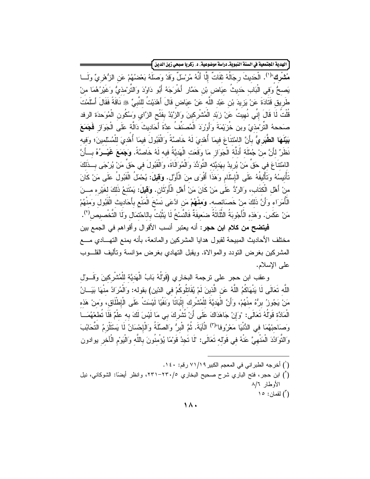الهدية الجنّععية في السنة النبويةـ دراسة موضوعية، د. زكريا صبحي زين الدين <mark>}</mark>

مُشْرِك"<sup>(١)</sup>. الْحَديثَ رجَالُهُ ثقَاتٌ إِلَّا أَنَّهُ مُرْسَلٌ وقَدْ وَصلَهُ بَعْضُهُمْ عَن الزُّهْريِّ وَلَـــا يَصحُّ وَفي الْبَابِ حَديثَ عيَاضٍ بْنِ حَمَّارٍ أَخْرِجَهُ أَبُو دَاوُدَ وَالتَّرْمذيُّ وَغَيْرُهُمَا منْ طَرِيق قَتَادَةَ عَنْ يَزِيدَ بْنِ عَبْدِ اللَّه عَنْ عيَاضٍ قَالَ أَهْدَيْتُ للنَّبِيِّ ۞ نَاقَةً فَقَالَ أَسْلَمْتَ قُلْتُ لَما قَالَ إِنِّي نُهيتُ عَنْ زِبَد الْمُشْرِكينَ وَالزَّبْدُ بِفَتْحِ الزَّايِ وَسَكُونِ الْمُوَحدَة الرفد صَححهُ التَّرْمذيّ وبن خُزيَمَةَ وَأَوْرَدَ الْمُصنَفُ عدَّةَ أَحَاديثَ دَالَّة عَلَى الْجَوَازِ فَجَمَعَ بَيْنَهَا الطَّبَرِيُّ بأَنَّ اللمْتنَاعَ فيمَا أُهْديَ لَهُ خَاصَّةً وَالْقَبُولَ فيمَا أُهْديَ للْمُسْلمينَ؛ وَفيه نَظَرٌ لأَنَّ منْ جُمْلَة أَدلَّة الْجَوَازِ مَا وَقَعَت الْهَديَّةُ فيه لَهُ خَاصَّةً. وَجَمَعَ غَيْــرُهُ بــأَنَّ اللمْتنَاعَ في حَقٍّ مَنْ يُرِيدُ بهَديَّته النَّوَدُّدَ وَالْمُوَالَاةَ، وَالْقَبُولَ في حَقٍّ مَنْ يُرْجَى بِبذَلكَ تَأْنيسُهُ وَتَأْليفُهُ عَلَى الْإِسْلَامِ وَهَذَا أَقْوَى منَ الْأَوَّلِ. وَ**قيلَ:** يُحْمَلُ الْقَبُولُ عَلَى مَنْ كَانَ منْ أَهْلِ الْكتَابِ، وَالرَّدُّ عَلَى مَنْ كَانَ مَنْ أَهْلِ الْأَوْتَانِ. وَ**قَيلَ:** يَمْتَنعُ ذَلكَ لغَيْر ه مـــنَ الْأُمَرَاء وَأَنَّ ذَلكَ منْ خَصَائصه. وَمَنْهُمْ مَن ادَّعَى نَسْخَ الْمَنْعِ بِأَحَاديث الْقَبُول وَمنْهُمْ مَنْ عَكَسَ. وَهَذه الْأَجْوِبَةُ الثَّلَاثَةُ ضَعيفَةٌ فَالنَّسْخُ لَا يَثْبُتُ باللحْتمَال ولَا التَّخْصيص(٢).

**فيتضح من كلام ابن حجر :** أنه يعتبر أنسب الأقوال وأقواهم في الجمع بين مختلف الأحاديث المبيحة لقبول هدايا المشركين والمانعة، بأنه يمنع التهـــادي مــــع المشركين بغرض النودد والموالاة. ويقبل النهادي بغرض مؤانسة وتأليف القلسوب على الإسلام.

وعقب ابن حجر على نرجمة البخاري (قَوْلُهُ بَابُ الْهَدِيَّة للْمُشْرِكينَ وَقَـــوْل اللَّه تَعَالَى لَا يَنْهَاكُمُ اللَّهُ عَنِ الَّذينَ لَمْ يُقَاتِلُوكُمْ في الدّين) بقوله: وَالْمُرَادُ منْهَا بَيَــانُ مَنْ يَجُوزُ برُّهُ منْهُمْ، وَأَنَّ الْهَديَّةَ للْمُشْرِك إِثْبَاتًا وَنَفْيًا لَيْسَتْ عَلَى الْإطْلَاق، وَمنْ هَذه الْمَادَّة قَوْلُهُ تَعَالَى: "وَإِنْ جَاهَدَاكَ عَلَى أَنْ نُتُسْرِكَ بِي مَا لَيْسَ لَكَ بِه عِلْمٌ فَلَا نُطغهُمَــا وَصَاحِبْهُمَا في الدُّنْيَا مَعْرُوفا"(٢) الْآيَةَ. ثُمَّ الْبرُّ وَالصَّلَةُ وَالْإِحْسَانُ لَا يَسْتَلْزِمُ التَّحَابُبَ وَالنُّوَادُدَ الْمَنْهِيَّ عَنْهُ في قَوْله تَعَالَى: "لَا تَجِدُ قَوْمًا يُؤْمِنُونَ بِاللَّه وَالْيَوْم الْآخر يوادون

- (`) أخرجه الطبر اني في المعجم الكبير ٧١/١٩ رقم: ١٤٠.
- (أ) ابن حجر ، فتح الباري شرح صحيح البخاري ٢٣٠/٥-٢٣١، وانظر أيضًا: الشوكاني، نيل الأوطار ٨/٦ اً) لقمان: ١٥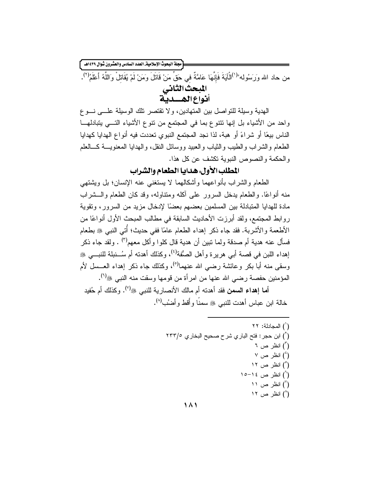مجلة البحوث الإسلامية العدد السادس والعشرون شوال ١٤٣٩هـ أ من حاد الله وَرَسُوله"<sup>(י)</sup>الْآيَةَ فَإِنَّهَا عَامَّةٌ في حَقٍّ مَنْ قَاتَلَ وَمَنْ لَمْ يُقَاتِلْ وَاللّهُ أَعْلَمُ<sup>(٢)</sup>. المبحث الثاني<br>أنواع الهــــدية

الهدية وسيلة للنواصل بين المتهادين، ولا تقتصر نلك الوسيلة علـــي نـــوع واحد من الأشياء بل إنها نتنوع بما في المجتمع من نتوع الأشياء التـــي يتبادلهـــا الناس بيعًا أو شراءً أو هبة، لذا نجد المجتمع النبوي تعددت فيه أنواع الهدايا كهدايا الطعام والشر اب والطيب والثياب والعبيد ووسائل النقل، والهدايا المعنويسة كسالعلم والحكمة والنصوص النبوية تكشف عن كل هذا.

# المطلب الأول: هدايا الطعام والشراب

الطعام والشراب بأنواعهما وأشكالهما لا يستغنى عنه الإنسان؛ بل ويشتهي منه أنواعًا. والطعام يدخل السرور على آكله ومتناوله، وقد كان الطعام والـــشراب مادة للهدايا المتبادلة بين المسلمين بعضهم بعضًا لإدخال مزيد من السرور، وتقوية روابط المجتمع، ولقد أبرزت الأحاديث السابقة في مطالب المبحث الأول أنواعًا من الأطعمة والأشربة. فقد جاء ذكر إهداء الطعام عامًا ففي حديث؛ أُنِّي النبي ﷺ بطعام فسأل عنه هدية أم صدقة ولما نبين أن هدية قال كلوا و أكل معهم<sup>(٣)</sup> . ولقد جاء ذكر إهداء اللبن في قصبة أبي هرير ة و أهل الصُّفة<sup>(٤)</sup>، وكذلك أهدته أم سُــنبلة للنبـــي ﷺ وسقى منه أبا بكر و عائشة رضبي الله عنهما<sup>(٥)</sup>، وكذلك جاء ذكر إهداء العــسل لأم المؤمنين حفصة رضي الله عنها من امرأة من قومها وسقت منه النبي ﷺ'').

أما إهداء السمن فقد أهدته أم مالك الأنصارية للنبي ﷺ ). وكذلك أم حُفيد خالة ابن عباس أهدت للنبي ﷺ سمنًا وأُقط وأضُب<sup>(٨)</sup>.

> (`) المجادلة: ٢٢ (`) ابن حجر : فتح الباري شرح صحيح البخاري ٢٣٣/٥ (°) انظر ص ۲  $\vee$  انظر ص $\left( \begin{smallmatrix} 1 \ 1 \end{smallmatrix} \right)$ (°) انظر ص ۱۲ (<sup>۲</sup>) انظر ص ۱۶–۱۰ انظر ص ۱۱) انظر (^) انظر ص ١٢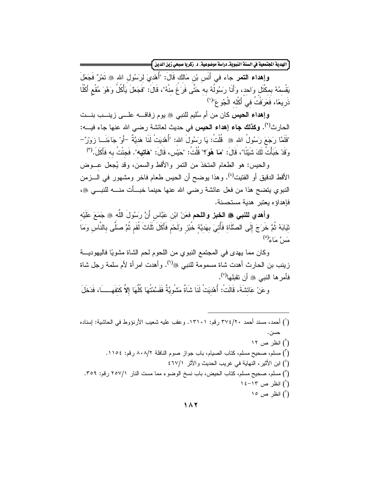ِ<br>الهدية الجتمعية في السنة النبويةـ دراسة موضوعية، د. زكريا صبحي زين الدين **]** 

وإِهداء النَّصر جاء في أَنَس بْن مَالك قَالَ: "أُهْدِيَ لرَسُول الله ﷺ نَمْرٌ فَجَعَلَ يَقْسِمُهُ بِمكْتُل وَاحِد، وَأَنَا رَسُولُهُ بِهِ حَتَّى فَرَغَ مِنْهُ"، قَالَ: "فَجَعَلَ يَأْكُلُ وَهُوَ مُقْع أَكْلَا ذَرِيعًا، فَعَرَفْتُ في أَكْله الْجُوعَ"<sup>(١)</sup>

وإهداء الحيس كان من أم سُليم للنبي ﷺ يوم زفاف عطي زينــب بنــت الحارث<sup>(٢)</sup>. **وكذلك جاء إهداء الحيس** في حديث لعائشة رضي الله عنها جاء فيــــه: "فَلَمَّا رَجَعَ رَسُولُ الله ﷺ ۚ قُلْتُ: يَا رَسُولَ الله: "أُهْدِيَتْ لَذَا هَديَّةٌ –أَوْ جَاءَنَــا زَوَرٌ وقَدْ خَبَأْتُ لَكَ شَبْئًا"، قَالَ: "مَا هُوَ؟" قُلْتُ: "حَبْس، قَالَ: "هَا**تيه**". فَجئْتُ به فَأَكَلَ.<sup>(٣)</sup>

والحيس: هو الطعام المتخذ من النمر والأقط والسمن، وقد يُجعل عـــوض الأقط الدقيق أو الفتيت<sup>(٤)</sup>. وهذا يوضح أن الحيس طعام فاخر ومشهور في الـــزمن النبوي يتضح هذا من فعل عائشة رضبي الله عنها حينما خبسأت منسه للنبسي ﷺ، فإهداؤه يعتبر هدية مستحسنة.

**وأهدي للنبي ﷺ الخبز واللحم فعَنْ** ابْنِ عَبَّاسٍ أَنَّ رَسُولَ اللَّهِ ﷺ جَمَعَ عَلَيْه ثِيَابَهُ ثُمَّ خَرَجَ إِلَى الصَّلَاةِ فَأُتِيَ بِهَدِيَّةٍ خُبْزٍ وَلَحْم فَأَكَلَ ثَلَاثَ لُقَم ثُمَّ صَلَّى بالنّاس وَمَا مَبَينٌ مَأْءٌ (°)

وكان مما يهدى في المجتمع النبوي من اللحوم لحم الشاة مشويًا فاليهوديـــة زينب بن الحارث أهدت شاة مسمومة للنبي ﷺ<sup>(٦)</sup>. وأهدت امرأة لأم سلمة رجل شاة فأمر ها النبي ﷺ أن تقبلها<sup>(٧)</sup>.

وعَنْ عَائشَةَ، قَالَتْ: أُهْدِيَتْ لَنَا شَاةٌ مَشْوِيَّةٌ فَقَسَّمْتُهَا كُلَّهَا إِلاَّ كَتفَهِـــــاً، فَدَخَلَ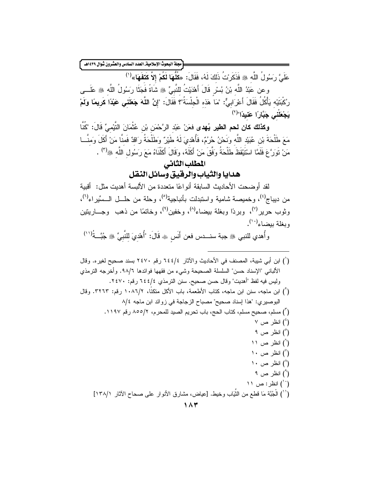عَلَىَّ رَسُولُ اللَّه ﷺ فَذَكَرِيْتُ ذَلِكَ لَهُ، فَقَالَ: «كُلُّهَا لَكُمْ إِلاَّ كَتَفَهَا»<sup>(١)</sup>

وعن عَبْدُ اللّه بْنُ بُسْرٍ قَالَ أَهْدَيْتُ للنَّبِيِّ ۞ شَاةً فَجَثَا رَسُولُ اللَّه ۞ عَلَـــى رِكْبَتَيْه يَأْكُلُ فَقَالَ أَعْرَابِىٌّ: "مَا هَذه الْجِلْسَةُ"؟ فَقَالَ: "إِنَّ اللَّهَ جَعَلَنِى عَبْدًا كَريمًا وَلَمْ يَجْعَلْنِي جَبَّارًا عَنيدًا"<sup>(٢)</sup>

**وكذلك كان لحم الطير يُهدى ف**عَنْ عَبْد الرَّحْمَن بْن عُثْمَانَ النَّيْمىٍّ قَالَ: "كُنَّا مَعَ طَلْحَةَ بْنِ عُبَيْدِ اللَّهِ وَنَحْنُ حُرُمٌ، فَأُهْدِيَ لَهُ طَيْرٌ وَطَلْحَةُ رَاقدٌ فَمنَّا مَنْ أَكَلَ وَمنَّــا مَنْ نَوَرَّعَ فَلَمَّا اسْتَيْقَظَ طَلْحَةُ وَفَّقَ مَنْ أَكَلَهُ، وَقَالَ أَكَلْنَاهُ مَعَ رَسُول اللَّه ﷺ ") .

# المطلب الثانى هدايا والثياب والرقيق وسائل النقل

لقد أو ضحت الأحاديث السابقة أنو اعًا متعددة من الألبسة أهديت مثل: أقبية من ديباج<sup>(٤)</sup>، و خميصة شامية واستبدلت بأنباجية<sup>(٥)</sup>، و حلة من حلـــل الــسِّير اء<sup>(٦)</sup>، وثوب حرير<sup>(٧)</sup>، وبردًا وبغلة بيضاء<sup>(٨)</sup>، وخفين<sup>(٩)</sup>، وخاتمًا من ذهب وجـــاريتين وبغلة بيضاء<sup>(١٠)</sup>.

وأُهدي للنبي ۞ جبة سنــدس فعن أَنَس ۞ قَالَ: "أُهْدِيَ للنَّبِيِّ ۞ جُبَّــةُ'''')

(`) ابن أبي شيبة، المصنف في الأحاديث والآثار ٢٤٤/٤ رقم ٢٤٧٠ بسند صحيح لغيره. وقال الألباني "الإسناد حسن" السلسلة الصحيحة وشيء من فقهها فوائدها ٩٨/٦. وأخرجه الترمذي وليس فيه لفظ "أهديت" وقال حسن صحيح. سنن النرمذي ٢٤٤/٤ رفم: ٢٤٧٠. (`) ابن ماجه، سنن ابن ماجه، كتاب الأطعمة، باب الأكل متكنًا، ١٠٨٦/٢ رقم: ٣٢٦٣. وقال البوصيري: "هذا إسناد صحيح" مصباح الزجاجة في زوائد ابن ماجه ٨/٤ (٢) مسلم، صحيح مسلم، كتاب الحج، باب تحريم الصيد للمحرم، ٨٥٥/٢. رقم ١١٩٧.  $\vee$  انظر ص $\left( \begin{smallmatrix} 1 \ 1 \end{smallmatrix} \right)$ (°) انظر ص ۹ (`) انظر ص ۱۱ انظر ص $'$  ۱۰ $'$ انظر ص $\binom{A}{1}$ (<sup>۹</sup>) انظر ص ۹ انظر: ص ١١) انظر $\ddot{ }$  : (``) الْحُبَّة مَا قطع من الثَّيَاب وخيط. [عياض، مشارق الأنوار على صحاح الآثار ١٣٨/١]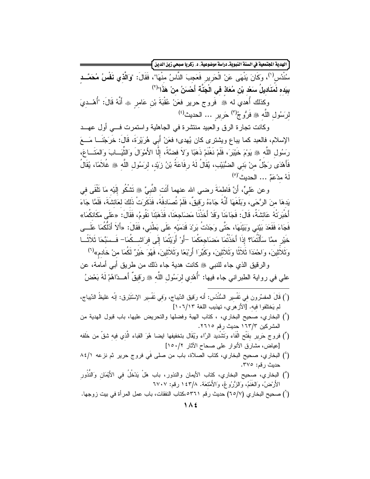الهدية المجتمعية في السنة النبويةـ دراسة موضوعية ، د . زكريا صبحي زين الدين }

سُنْدُسِ<sup>(י)</sup>، وَكَانَ يَنْهَى عَنْ الْحَرِيرِ فَعَجِبَ النَّاسُ منْهَا"، فَقَالَ: "وَا**لَّذْي نَفْسُ مُحَمَّــد** بِيَده لَمَنَاديلُ سَعْد بْنِ مُعَاذٍ فِي الْجَنَّة أَحْسَنُ منْ هَذَا"<sup>(٢)</sup>

وكذلك أُهدي له ﷺ فَروج حرير فعَنْ عُقْبَةَ بْنِ عَامرٍ ۞ أَنَّهُ قَالَ: "أُهْــديَ لِرَسُولِ اللَّهِ ، فَرُوحُ(") حَرير ... الحديث<sup>(؛)</sup>

وكانت نجارة الرق والعبيد منتشرة في الجاهلية واستمرت فسي أول عهــد الإسلام، فالعبد كما بباع ويشترى كان يُهدى؛ فعَنْ أَبِي هُرَيْرَةَ، قَالَ: خَرَجْنَـــا مَـــعَ رَسُولِ اللَّهِ ۞ يَوْمَ خَيْبَرَ، فَلَمْ نَغْنَمْ ذَهَبًا وَلاَ فضَّةً، إلَّا الأَمْوَالَ وَالثَّيَــابَ وَالمَتَــاعَ، فَأَهْدَى رَجُلٌ منْ بَني الضُّبَيْب، يُقَالُ لَهُ رفَاعَةُ بْنُ زِيْد، لرسَول اللَّه ﷺ غُلاَمًا، يُقَالُ لَهُ مدْعَمٌ ... الحدبث"(٥)

وعن عَلـىٍّ، أَنَّ فَاطمَةَ رضـي الله عنهما أَنَت النَّبـيَّ ۞ نَتْنـكُو إِلَيْه مَا نَأْقَى فـي يَدهَا مِنَ الرَّحَى، وبَلَغَهَا أَنَّهُ جَاءَهُ رِقِيقٌ، فَلَمْ تُصَادِفْهُ، فَذَكَرِبَ ٰ ذَلِكَ لعَائشَةَ، فَلَمَّا جَاءَ أَخْبَرَتْهُ عَائشَةُ، قَالَ: فَجَاءَنَا وَقَدْ أَخَذْنَا مَضَاجِعَنَا، فَذَهَبْنَا نَقُومُ، فَقَالَ: «عَلَى مَكَانكُمَا» فَجَاءَ فَقَعَدَ بَيْنِي وَبَيْنَهَا، حَتّٰى وَجَدْتُ بَرِدَ قَدَمَيْه عَلَى بَطْني، فَقَالَ: «أَلاَ أَدُلْكُمَا عَلَــي خَيْرِ ممَّا سَأَلْتُمَا؟ إِذَا أَخَذْتُمَا مَضنَاجِعَكُمَا –أَو ۚ أَوَيْتُمَا إِلَى فرَاشــكُمَا– فَــسَبِّحَا ثَلاَثَـــا وَثَلاَثينَ، وَاحْمَدَا ثَلاَثًا وَثَلاَثينَ، وكَبِّرَا أَربْعًا وَثَلاَثينَ، فَهُوَ خَيْرٌ لَكُمَا منْ خَادم»<sup>(٦)</sup>

والرقيق الذي جاء للنبي ﷺ كانت هدية جاء ذلك من طريق أبي أمامة، عن على في رواية الطبراني جاء فيها: "أُهْدي لرَسُول اللَّه ﷺ رَقيقٌ أَهـــذاهُمْ لَهُ بَعْضُ

- (`) قَالَ المفسِّرون في نَفْسير السُّنْدُس: أَنه رَقيق الدِّيباج، وَفي نَفْسير الإِسْتَبْرق: إنَّه غليظُ الدِّيباج، لم يَختلفوا فيه. [الأز هري، تهذيب اللغة ١٠٦/١٣]
- (أ) البخاري، صحيح البخاري، ، كتاب الهبة وفضلها والتحريض عليها، باب قبول الهدية من المشركين ١٦٣/٣ حديث رقم ٢٦١٥.
- (٢) فروج حَريرٍ بفَتْحِ الْفَاءِ وَتَتْسْدِيدِ الرَّاءِ وَيُقَالِ بتخفيفها ايضا هُوَ القباءِ الَّذي فيه شقّ من خلَفه [عياض، مشارق الأنوار على صحاح الآثار ١٥٠/٢]
- (') البخاري، صحيح البخاري، كتاب الصلاة، باب من صلى فَي فروج حرير ثم نزعه ٨٤/١ حدبث رقم: ٣٧٥.
- (°) البخاري، صحيح البخاري، كتاب الأيمان والنذور، باب هَلْ يَدْخُلُ في الأَيْمَانِ وَالنُّذُورِ الأَرْضُ، وَالغَنَمُ، وَالزُّرُوعُ، وَالأَمْتَعَة. ١٤٣/٨ رقم: ٦٧٠٧
- (`) صحيح البخاري (٦٥/٧) حديث رقم ٥٣٦١،كتاب النفقات، باب عمل المرأة في بيت زوجها.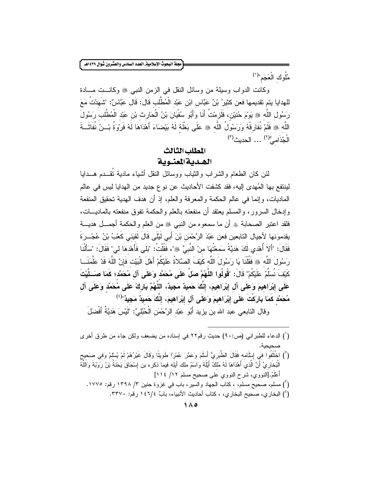مجلة البحوث الإسلامية\_ العدد السادس والعشرون شوال ١٤٣٩هـ.

مُلُوكِ الْعَجَمِ"(١)

وكانت الدواب وسيلة من وسائل النقل في الزمن النبي ﷺ وكانــت مــادة للهدايا يتم تقديمها فعن كَثيرُ بْنُ عَبَّاس ابْنِ عَبْد الْمُطَّلب قَالَ: قَالَ عَبَّاسٌ: "شَهدْتُ مَعَ رَسُولِ اللَّهِ ، يَوْمَ حُنَيْن، فَلَزمْتُ أَنَا وَأَبُو سُفْيَانَ بْنُ الْحَارِث بْنِ عَبْدِ الْمُطَّلب رَسُولَ اللَّه ﴾ فَلَمْ نُفَارِقْهُ وَرَسُولُ اللَّه ۞ عَلَى بَغْلَة لَهُ بَيْضَاءَ أَهْدَاهَا لَهُ فَرْوَةُ بْــنُ نُفَاثَــةَ  $\int_0^{\infty}$ الْجُذَامے $\int_0^{\infty}$ ... الحدیث

# المطلب الثالث الهديةالمعنوية

لئن كان الطعام والشراب والثياب ووسائل النقل أشياء مادية نُقــدم هـــدايا لينتفع بها المُهدى إليه، فقد كشفت الأحاديث عن نوع جديد من الهدايا ليس في عالم الماديات، وإنما في عالم الحكمة والمعرفة والعلم، إذ أن هدف الهدية تحقيق المنفعة وإدخال السرور، والمسلم يعتقد أن منفعته بالعلم والحكمة تفوق منفعته بالماديـــات، فلقد اعتبر الصحابة ۞ أن ما سمعوه من النبي ۞ من العلم والحكمة أجمـــل هديــــة يقدمونها لأجيال التابعين فعن عَبْدَ الرَّحْمَن بْنَ أَبِي لَيْلَى قَالَ لَقَيَنِي كَعْبُ بْنُ عُجْــرَةَ فَقَالَ: "أَلاَ أُهْدي لَكَ هَديَّةً سَمعْتُهَا منْ النَّبِيِّ ﷺ"، فَقُلْتُ: "بَلَى فَأَهْدهَا لی" فَقَالَ: "سَأَلْنَا رَسُولَ اللَّه ﷺ فَقُلْنَا يَا رَسُولَ اللَّه كَيْفَ الصَّلاةُ عَلَيْكُمْ أَهْلَ الْبَيْت فَإِنَّ اللَّهَ قَدْ عَلَّمَنَـــا كَيْفَ نُسَلِّمُ عَلَيْكُمْ" قَالَ: "قُولُوا اللَّهُمَّ صَلٍّ عَلَى مُحَمَّد وَعَلَى آل مُحَمَّد؛ كَمَا صَــلَّيْتَ عَلَى إِبْرَاهِيمَ وَعَلَى آلِ إِبْرَاهِيمَ، إِنَّكَ حَميدٌ مَجِيدٌ، اللَّهُمَّ بَارِكْ عَلَى مُحَمَّد وَعَلَى آل مُحَمَّدٍ كَمَا بَارَكْتَ عَلَى إِبْرَاهِيمَ وَعَلَى آل إِبْرَاهِيمَ، إِنَّكَ حَميدٌ مَجِيدٌ"<sup>(٤)</sup>

وقال التابعي عبد الله بن يزيد أَبُو عَبْد الرَّحْمَن الْحُبُليَّ: "لَيْسَ هَديَّةٌ أَفْضلَ

- (أ) الدعاء للطبراني (ص:٩٠) حديث رقم٢٢ في إسناده من يضعف ولكن جاء من طرق أخرى صحيحية.
- (`) اخْتَلَفُوا في إِسْلَامه فَقَالَ الطُّبَرِيُّ أَسْلَمَ وَعَمَّرَ عُمْرًا طَوِيلًا وَقَالَ غَيْرُهُمْ لَمْ يُسْلمْ وَفي صَحيح الْبُخَارِيِّ أَنَّ الَّذي أَهْدَاهَا لَهُ مَلَكُ أَيِّلَةَ وَاسْمُ ملك أيله فيماً ذكره بن إسْحَاقَ يَحْنَةُ بْنُ رَوْبَةَ وَاللَّهُ أَعْلَمُ.[النووي، شرح النووي على صحيح مسلم ١١/ ١١٤] (أ) مسلم، صحيح مسلم، ، كتاب الجهاد والسير، باب في غزوة حنين ٣/ ١٣٩٨ رقم: ١٧٧٥.
	- (') البخاري، صحيح البخاري، ، كتاب أحاديث الأنبياء، بابِّ ١٤٦/٤ رقم: ٣٣٧٠.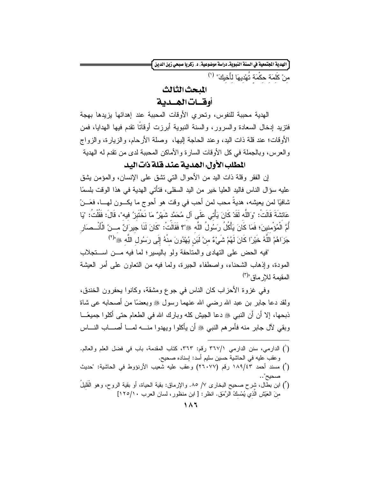الهدية الجتمعية في السنة النبويةـ دراسة موضوعية، د ـ زكريا صبحي زين الدين أ

منْ كَلَمَة حَكْمَة تُهْدِيهَا لِأَخيكَ" (')

الملحث الثالث أوقيات الهيدية

الهدية محببة للنفوس، وتحرى الأوقات المحببة عند إهدائها يزيدها بهجة فتزيد إدخال السعادة والسرور ، والسنة النبوية أبرزت أوقاتًا تقدم فيها الهدايا، فمن الأوقات؛ عند قلَّة ذات اليد، وعند الحاجة الِيها، وصلَّة الأرحام، والزيارة، والزواج والعرس، وبالجملة في كل الأوقات السارة والأماكن المحببة لدى من نقدم له الهدية

المطلب الأول الهديبة عند قلة ذات البد

إن الفقر وقلة ذات اليد من الأحوال التبي تشق على الإنسان، والمؤمن بِشق عليه سوَّ ال الناس فاليد العليا خير ٍ من اليد السفلي، فتأتي الهدية في هذا الوقت بلسمًا شافيًا لمن يعيشه، هديةً محب لمن أحب في وقت هو أحوج ما يكـــون لهـــا، فعَـــنْ عَائشَةَ قَالَتْ: "وَاللَّه لَقَدْ كَانَ يَأْتي عَلَى آل مُحَمَّد شَهْرٌ مَا نَخْتَبِرْ ُ فيه"، قَالَ: فَقُلْتُ: "يَا أُمَّ الْمُؤْمنينَ؛ فَمَا كَانَ يَأْكُلُ رَسُولُ اللَّه ﷺ؟ فَقَالَتُ: "كَانَ لَنَا جيرَانٌ مـــنْ الْأَنْــصَار جَزَاهُمْ اللَّهُ خَيْرًا كَانَ لَهُمْ شَيْءٌ منْ لَبَن يُهْدُونَ منْهُ إِلَى رَسُولِ اللَّهِ ﷺ"(٢)

لفيه الحض على التهادي والمتلحفة ولمو باليسير؛ لما فيه مـــن اســـتجلاب المودة، وإذهاب الشحناء، واصطفاء الجيرة، ولما فيه من النعاون على أمر العيشة المقيمة للارماق"<sup>(٣)</sup>

وفي غزوة الأحزاب كان الناس في جوع ومشقة، وكانوا يحفرون الخندق، ولقد دعا جابر ً بن عبد الله رضبي الله عنهما رسول ﷺ وبعضًا من أصحابه عي شاة ذبحها، إلا أن أن النبي ﷺ دعا الجيش كله وبارك الله في الطعام حتى أكلو ا جميعًـــا وبقي لآل جابر منه فأمرهم النبي ﷺ أن يأكلوا ويهدوا منــــه لمــــا أصـــــاب النـــــاس

- (`) الدارمي، سنن الدارمي ٣٦٧/١ رقم: ٣٦٣، كتاب المقدمة، باب في فضل العلم والعالم. وعقب عليه في الحاشية حسين سليم أسد: إسناده صحيح.
- (`) مسند أحمد ١٨٩/٤٣ رقم (٢٦٠٧٧) وعقب عليه شعيب الأرنؤوط في الحاشية: "حديث
- (") ابن بطال، شرح صحيح البخارى ٧/ ٨٥. والإرماق: بقية الحياة، أو بقية الروح، وهو الْقَليلُ منَ العَيْشِ الذي يُمْسكُ الرَّمَقِ. انظر: [ ابن منظور ، لسان العرب ١٢٥/١٠]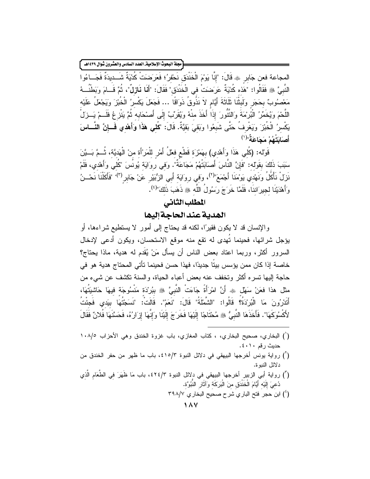#### .<br>مجلة البحوث الإسلامية\_ العدد السادس والعشرون شوال ١٤٣٩هـ |

المجاعة فعن جَابر ۞ قَالَ: "إنَّا يَوْمَ الْخَنْدَقِ نَحْفرُ؛ فَعَرَضَتْ كُدْيَةٌ شَــديدَةٌ فَجَــاءُوا النَّبِيَّ ﴾ فَقَالُوا: "هَذه كُدْيَةٌ عَرَضنَتْ في الْخَنْدَقِ" فَقَالَ: "أَلَمَا نَعَازِلٌ"، ثُمَّ قَــامَ وبَطْنُـــهُ مَعْصُوبٌ بحَجَر ولَبِثْنَا ثَلَاثَةَ أَيَّام لاَ نَذُوقُ ذَوَاقًا … فَجَعَلَ يَكْسِرُ الْخُبْزَ وَيَجْعَلُ عَلَيْه اللَّحْمَ وَيُخَمِّرُ الْبُرْمَةَ وَالنَّتُورَ إِذَاً أَخَذَ منْهُ وَيُقَرِّبُ إِلَى أَصْحَابِهِ ثُمَّ يَنْزِعُ فَلَــمْ يَــزلْ يَكْسرُ الْخُبْزَ وَيَغْرِفُ حَتَّى شَبِعُوا وَبَقَيَ بَقَيَّةٌ. قَالَ: "كُلمِي هَذَا وَأَهْدمِي فَــإنَّ النّـــاسَ أَصَابَتْهُمْ مَجَاعَةٌ"<sup>(١)</sup>

قَوْله: (كُلْي هَذَا وَأَهْدِي) بهَمْزَة قَطْع فعْلُ أَمْرِ للْمَرْأَة منْ الْهَديَّة، ثُــمَّ بَــبَّنَ سَبَبَ ذَلكَ بقَوْله: "فَإِنَّ النَّاسَ أَصَابَتْهُمْ مَجَاعَةٌ". وَفي روَايَة يُونُسَ "كُلي وَأَهْدي، فَلَمْ نَزلْ نَأْكُلُ وَنَهْدي يَوْمَنَا أَجْمَعَ"<sup>(٢)</sup>، وَفي رواَيَة أَبي الزُّبَيْر عَنْ جَابر<sup>(٣)،</sup> "فَأَكَلْنَا نَحْــنُ وَأَهْدَيْنَا لجيرَاننَا، فَلَمَّا خَرَجَ رَسُولُ اللَّه ﷺ ذَهَبَ ذَلِكَ"<sup>(٤)</sup>.

# المطلب الثانى

### الهدية عند الحاجة إليها

والإنسان قد لا يكون فقيرًا، لكنه قد يحتاج إلى أمور لا يستطيع شراءها، أو يؤجل شرائها، فحينما تُهدى له نقع منه موقع الاستحسان، ويكون أدعى لإدخال السرور أكثر، وربما اعتاد بعض الناس أن يسأل مَنْ يُقَدِم له هدية، ماذا بحتاج؟ خاصة إذا كان ممن يؤسس بيتًا جديدًا، فهذا حسن فحينما تأتي المحتاج هدية هو في حاجة إليها نسره أكثر ونخفف عنه بعض أعباء الحياة، والسنة نكشف عن شيء من مثل هذا فعَنْ سَهْل ﷺ أَنَّ امْرَأَةً جَاءَتْ النَّبِيَّ ﷺ بِبُرِدَة مَنْسُوجَة فِيهَا حَاشِيَتُهَا، أَتَدْرُونَ مَا الْبُرُدْةُ؟ قَالُوا: "الشَّمَّلَةُ" قَالَ: "نَعَمْ". قَالَتْ: "نَسَجْتُهَا بِيَدِي فَجئْتُ لأَكْسُوكَهَا". فَأَخَذَهَا النَّبيُّ ۞ مُحْتَاجًا إِلَيْهَا فَخَرَجَ إِلَيْنَا وَإِنَّهَا إِزَارُهُ، فَحَسَّنَهَا فُلانٌ فَقَالَ

- (') البخاري، صحيح البخاري، ، كتاب المغازي، باب غزوة الخندق وهي الأحزاب ١٠٨/٥ حديث رقم ٤٠١٠.
- (أ) رواية يونس أخرجها البيهقي في دلائل النبوة ٤١٥/٣، باب ما ظهر من حفر الخندق من دلائل النيو ة.
- (أ) رواية أبي الزبير أخرجها البيهقي في دلائل النبوة ٤٢٤/٣، باب مَا ظَهَرَ في الطَّعَام الَّذي دُعيَ إِلَيْه أَيَّامَ الْخَنْدَقِ منَ الْبَرَكَة وَآثَارِ النُّبُوَّة.
	- (<sup>٤</sup>) ابن حجر فتح الباري شرح صحيح البخاري ٣٩٨/٧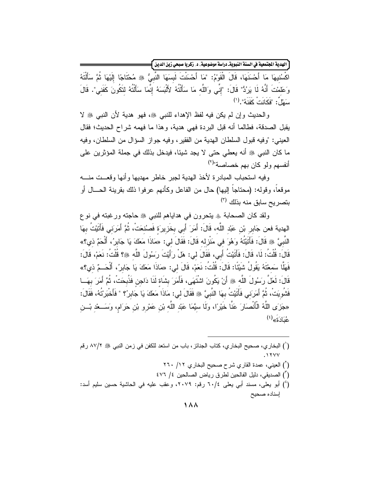ِّ الهدية المجتمعية في السنة النبويةـ دراسة موضوعية، د. زكريا صبحي زين الدين <mark>)</mark>

اكْسُندِهَا مَا أَحْسَنَهَا، قَالَ الْقَوْمُ: "مَا أَحْسَنْتَ لَبِسَهَا النَّبِيُّ ۞ مُحْتَاجًا إِلَيْهَا ثُمَّ سَأَلْتَهُ وَعَلَمْتَ أَنَّهُ لَا يَرُدُّ" قَالَ: "إِنِّي وَاللَّه مَا سَأَلْتُهُ لأَلْبَسَهُ إِنَّمَا سَأَلْتُهُ لتَكُونَ كَفَني". قَالَ  $\overrightarrow{a}$ ). "فَكَانَتْ كَفَذَهُ". (')

والحديث وإن لم يكن فيه لفظ الإهداء للنبي ﷺ، فهو هدية لأن النبي ﷺ لا يقبل الصدقة، فطالما أنه قبل البر دة فهي هدية، و هذا ما فهمه شر اح الحديث؛ فقال العيني: "وفيه قبول السلطان الهدية من الفقير ، وفيه جواز السؤال من السلطان، وفيه ما كان النبي ﷺ أنه يعطي حتى لا يجد شيئا، فيدخل بذلك في جملة المؤثرين على أنفسهم ولو كان بهم خصاصة"<sup>(٢)</sup>

وفيه استحباب المبادرة لأخذ الهدية لجبر خاطر مهديها وأنها وقعست منسه موقعاً، وقوله: (محتاجاً إليها) حال من الفاعل وكأنهم عرفوا ذلك بقرينة الحـــال أو بتصريح سابق منه بذلك (٣)

ولقد كان الصحابة ﴾ يتحرون في هداياهم للنبي ۞ حاجته ورغبته في نوع الهدية فعن جَابِرِ بْنِ عَبْدِ اللَّهِ، قَالَ: أَمَرَ أَبِي بخَزِيرَة فَصنُنعَتْ، ثُمَّ أَمَرَني فَأَتَيْتُ بهَا النَّبِيَّ ﴾ قَالَ: فَأَتَيْتُهُ وَهُوَ في مَنْزِله قَالَ: فَقَالَ لي: «مَاذَا مَعَكَ يَا جَابِرُ، أَلْحَمَّ ذي؟» قَالَ: قُلْتُ: لَا، قَالَ: فَأَتَبْتُ أَبِي، فَقَالَ لِي: هَلْ رِأَيْتَ رِسَوُلَ اللَّه ﷺ؟ قُلْتُ: نَعَمْ، قَالَ: فَهَلَّا سَمعْتَهُ يَقُولُ شَيِّئًا: قَالَ: قُلْتُ: نَعَمْ، قَالَ لي: «مَاذَا مَعَكَ يَا جَابرُ، أَلْحَــمٌ ذي؟» قَالَ: لَعَلَّ ر َسُو لَ اللَّه ﷺ أَنْ يَكُو نَ اشْتَهَى، فَأَمَرَ بِشَاة لَذَا دَاجِن فَذُبِحَتْ، ثُمَّ أَمَرَ بِهَــا فَشُوبِتْ، ثُمَّ أَمرَنى فَأَتَيْتُ بهَا النَّبِيَّ ۞ فَقَالَ لي: مَاذَا مَعَكَ يَا جَابِرُ؟ " فَأَخْبَرْتُهُ، فَقَالَ: «جَزَى اللَّهُ الْأَنْصَارَ عَنَّا خَيْرًا، وَلَما سَيَّمَا عَبْد اللَّه بْن عَمْرِو بْنِ حَرَام، وَسَــعْدِ بْـــنِ  $\hat{\mathbf{a}}^{(i)}$ عُبَادَةَ»

- (`) البخاري، صحيح البخاري، كتاب الجنائز ، باب من استعد للكفن في زمن النبي ﷺ ٨٧/٢ رقم
	- (`) العيني، عمدة القاري شرح صحيح البخاري ١٢/ ٢٦٠
	- ( ّ) الصديقى، دليل الفالحين لطرق رياض الصالحين ٤/ ٤٧٦
- (') أبو يعلي، مسند أبي يعلي ٢٠/٤ رقم: ٢٠٧٩، وعقب عليه في الحاشية حسين سليم أسد: إسناده صحيح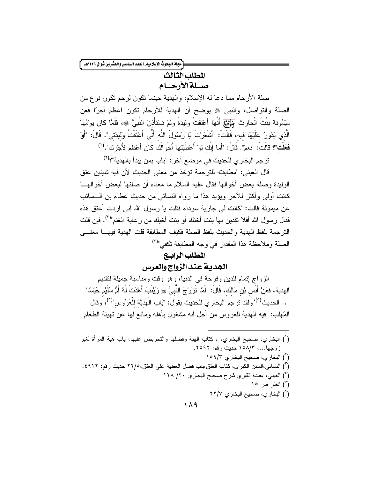[مجلة البحوث الإسلامية\_ العدد السادس والعشرون شوال ١٤٣٩هـ.

# المطلب الثالث

صلةالأرحام

صلة الأرحام مما دعا له الإسلام، والهدية حينما نكون لرحم نكون نوع من الصلة والتواصل، والنبي ۞ يوضح أن الهدية للأرحام نكون أعظم أجرًا فعن مَيْمُونَةَ بِنْتَ الْحَارِثِ جَهْلَهَا أَمْتَقَا وَلِيدَةً وَلَمْ تَسْتَأْنِنْ النَّبِيَّ ﴾ فَلَمَّا كَانَ يَوْمُهَا الَّذي يَدُورُ عَلَيْهَا فيه، قَالَتْ: "أَشْعَرْتَ يَا رَسُولَ اللَّه أَنِّي أَعْتَقْتُ ولليدَتي". قَالَ: "أَوَ فَعَلْت"؟ قَالَتْ: "نَعَمْ". قَالَ: "أَمَا إنَّك لَو ْ أَعْطَيَتْهَا أَخْوَالَك كَانَ أَعْظَمَ لأَجْرِك". (')

ترجم البخاري للحديث في موضع آخر : "باب بمن يبدأ بالهدية"؟<sup>(٢)</sup>

قال العيني: "مطابقته للترجمة تؤخذ من معنى الحديث لأن فيه شيئين عتق الوليدة وصلة بعض أخوالها فقال عليه السلام ما معناه أن صلتها لبعض أخوالهـــا كانت أولى وأكثر للأجر ويؤيد هذا ما رواه النسائي من حديث عطاء بن الـــسائب عن ميمونة قالت: "كانت لي جارية سوداء فقلت يا رسول الله إني أردت أعتق هذه فقال رسول الله أفلا تفدين بها بنت أختك أو بنت أخيك من رعاية الغنم"<sup>(٣)</sup>. فإن قلت النزجمة بلفظ الهدية والحديث بلفظ الصلة فكيف المطابقة فلت الهدية فيهسا معنسى الصلة وملاحظة هذا المقدار في وجه المطابقة تكفي"<sup>(٤)</sup>

### المطلب الرابيع

الهدية عند الزواج والعرس

الزواج إتمام للدين وفرحة في الدنيا، وهو وقت ومناسبة جميلة لتقديم الهدية، فعَنْ أَنَسٍ بْنِ مَالِكٍ، قَالَ: "لَمَّا نَزَوَّجَ النَّبِيُّ ﷺ زِيْنَبَ أَهْدَتْ لَهُ أُمَّ سُلَيْم حَيْسًا" ... الحديث<sup>(٥)،</sup> ولقد ترجم البخاري للحديث بقول: "بَاب الْهَديَّة للْعَرُوس"<sup>(٦)</sup>، وقال الْمُهلب: "فيه الهدية للعروس من أجل أنه مشغول بأهله ومانع لها عن نهيئة الطعام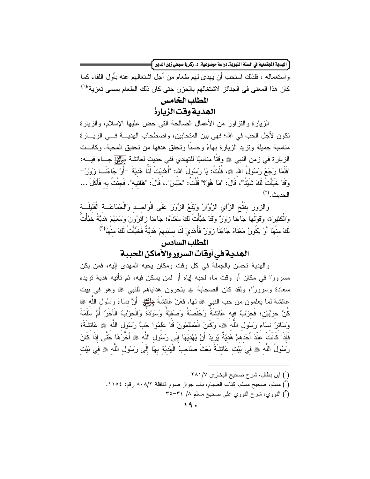ّ الهدية الجتمعية في السنة النبويةـ دراسة موضوعية، د. زكريا صبحي زين الدين <mark>}</mark>

و استعماله ، فلذلك استحب أن يهدي لهم طعام من أجل اشتغالهم عنه بأول اللقاء كما كان هذا المعنى في الجنائز لاشتغالهم بالحزن حتى كان ذلك الطعام يسمى تعزية"<sup>(י)</sup>

### المطلب الخامس

### الهدية وقت الزيارة

الزيارة والنزاور من الأعمال الصالحة التي حض عليها الإسلام، والزيارة نكون لأجل الحب في الله؛ فهي بين المتحابين، واصطحاب الهديـــة فـــي الزيــــارة مناسبة جميلة وتزيد الزيار ة بهاءً وحسنًا وتحقق هدفها من تحقيق المحبة. وكانــت الزيارة في زمن النبي ﷺ وقتًا مناسبًا للنهادي ففي حديث لعائشة مجمَّتِي جـــاء فيــــه: "فَلَمَّا رَجَعَ رَسُولُ الله ﷺ، قُلْتُ: يَا رَسُولَ الله: "أُهْدِيَتْ لَمَا هَديَّةٌ –أَوْ جَاءَنَــا زَوْرٌ – و َقَدْ خَبَأْتُ لَكَ شَبِّئًا"، قَالَ: "**مَا هُوَ؟**" قُلْتُ: "حَيْسُ".، قَالَ: "**هَاتيه"**. فَجئْتُ به فَأَكَلَ"… الحديث. (٢)

والزور بِفَتْحِ الزَّايِ الزُّوَّارُ وَيَقَعُ الزَّوْرُ عَلَى الْوَاحــد وَالْجَمَاعَـــة الْقَليلَـــة وَالْكَثْيرَة، وَقَوْلُهَا جَاءَنَا زَوَرٌ وَقَدْ خَبَّأْتُ لَكَ مَعْنَاهُ؛ جَاءَنَا زِائرُونَ وَمَعَهُمْ هَديَّةٌ خَبَّأْتُ لَكَ مِنْهَا أَوْ يَكُونُ مَعْنَاهُ جَاءَنَا زَوَرٌ فَأُهْدِيَ لَنَا بِسَبَبِهِمْ هَدِيَّةٌ فَخَبَّأْتُ لَكَ مِنْهَالٌ

### المطلب السادس

# الهدية في أوقات السرور والأماكن المحببة

والهدية تحسن بالجملة في كل وقت ومكان يحبه المهدى إليه، فمن يكن مسرورًا في مكان أو وقت ما، لحبه إياه أو لمن يسكن فيه، ثم تأتيه هدية نزيده سعادة وسرورًا، ولقد كان الصحابة ۞ يتحرون هداياهم للنبي ۞ وهو في بيت عائشة لما يعلمون من حب النبي ﷺ لها. فعَنْ عَائشَةَ جَنِّيلٍ ۖ أَنَّ نسَاءَ رَسُول اللَّه ﷺ كُنَّ حزبْبَيْن؛ فَحزبْ فيه عَائشَةُ وَحَفْصَةُ وَصَفِيَّةُ وَسَوْدَةُ وَالْحزْبُ الْأَخَرُ أُمُّ سَلَمَةَ وَسَائِرُ نسَاء رَسُولِ اللَّهِ ۞، وكَانَ الْمُسْلَمُونَ قَدْ عَلَمُوا حُبَّ رَسُولِ اللَّهِ ۞ عَائشَةَ؛ فَإِذَا كَانَتْ عَنْدَ أَحَدهمْ هَديَّةً يُرِيدُ أَنْ يُهْديَهَا إِلَى رَسُول اللَّه ﷺ أَخَّرَهَا حَتَّى إِذَا كَانَ رَسُولُ اللَّه ﴾ في بَيْت عَائشَةَ بَعَثْ صَاحبُ الْهَديَّة بهَا إِلَى رَسُولِ اللَّهِ ۞ في بَيْت

- (`) ابن بطال، شرح صحيح البخار ي ٢٨١/٧
- (أ) مسلم، صحيح مسلم، كتاب الصيام، باب جواز صوم النافلة ٨٠٨/٢ رقم: ١١٥٤.
	- (أ) النووى، شرح النووى على صحيح مسلم ٧/ ٣٥-٣٥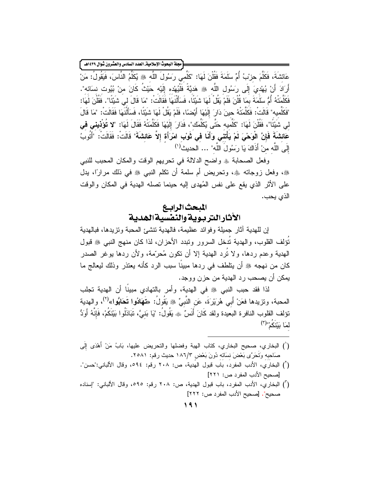.<br>مجلة البحوث الإسلامية\_ العدد السادس والعشرون شوال ١٤٣٩هـ ً

عَائشَةَ، فَكَلَّمَ حزبُ أُمِّ سَلَمَةَ فَقُلْنَ لَهَا: "كَلِّمى رَسُولَ اللَّه ﷺ يُكَلِّمُ النَّاسَ، فَيَقُولُ: مَنْ أَرَادَ أَنْ يُهْديَ إِلَى رَسُولِ اللَّه ﷺ هَدِيَّةً فَلْيُهْده إِلَيْه حَيْثُ كَانَ منْ بُيُوت نسَائه". فَكَلَّمَتْهُ أُمُّ سَلَّمَةَ بِمَا قُلْنَ فَلَمْ يَقُلْ لَهَا شَبْئًا، فَسَأَلْنَهَا فَقَالَتْ: "مَا قَالَ لى شَبْئًا". فَقُلْنَ لَهَا: "فَكَلِّميه" قَالَتْ: فَكَلَّمَتْهُ حينَ دَارَ ۖ إِلَيْهَا ۖ أَيْضِنَا، فَلَمْ يَقُلْ لَهَا شَيْئًا، فَسَأَلْنَهَا فَقَالَتْ: "مَا قَالَ لِي شَبِّئًا"، فَقُلْنَ لَهَا: "كَلِّميه حَتّى يُكَلِّمَك"، فَدَارَ الْيَهَا فَكَلَّمَتْهُ فَقَالَ لَهَا: "لا تُؤْذيني في عَائشَةً فَإِنَّ الْوَحْىَ لَمْ يَأْتنى وَأَنَا في ثَوْب امْرَأَة إِلاّ عَائشَةً" قَالَتْ: فَقَالَتْ: "أَتُوبُ إِلَى اللَّهِ مِنْ أَذَاكَ يَا رَسُولَ اللَّه" ... الحديث<sup>(י)</sup>

وفعل الصحابة ﴾ واضح الدلالة في تحريهم الوقت والمكان المحبب للنبي ﴾، وفعل زوجاته ۞، وتحريض أم سلمة أن نكلم النبي ۞ في ذلك مرارًا، بدل على الأثر الذي يقع على نفس المُهدى إليه حينما نصله الهدية في المكان والوقت الذى يحب.

# المبحث الرابع الأثار التر بوية والنفسية الهدية

إن للهدية آثار جميلة وفوائد عظيمة، فالهدية نتشئ المحبة وتزيدها، فبالهدية نَوَلف القلوب، والهدية نَدخل السرور ونبدد الأحزان، لذا كان منهج النبي ﷺ فبول الهدية وعدم ردها، ولا نُرد الهدية إلا أن نكون مُحرِّمة، ولأن ردها يوغر الصدر كان من نهجه ﷺ أن يتلطف في ردها مبينًا سبب الرد كأنه يعتذر وذلك ليعالج ما يمكن أن يصحب رد الهدية من حزن ووجد.

لذا فقد حبب النبي ﷺ في الهدية، وأمر بالتهادي مبينًا أن الهدية تجلب المحبة، وتزيدها فعَنْ أَبي هُرَيْرَةَ، عَن النَّبيِّ ﷺ يَقُولُ: «تَـهَادُوا تَـحَابُوا»<sup>(٢)</sup>، والـهدية تؤلف القلوب النافرة البعيدة ولقد كَانَ أَنَسٌ ۞ يَقُولُ: "يَا بَنيَّ، تَبَاذَلُوا بَيْنَكُمْ، فَإِنَّهُ أَوَدُّ لَمَا بَيْنَكُمْ"(٣)

- (') البخاري، صحيح البخاري، كتاب الهبة وفضلها والنحريض عليها، بَابٌ مَنْ أَهْدَى إِلَى صَاحبه وَتَحَرَّى بَعْضَ نسَانَه دُونَ بَعْض ١٨٦/٣ حديث رقم: ٢٥٨١.
- (`) البخاري، الأدب المفرد، باب قبول الهدية، ص: ٢٠٨ رقم: ٥٩٤، وقال الألباني:"حسن". [صحيح الأدب المفرد ص: ٢٢١]
- (أ) البخاري، الأدب المفرد، باب قبول الهدية، ص: ٢٠٨ رقم: ٥٩٥، وقال الألباني: "إسناده صحيح". [صحيح الأدب المفر د ص: ٢٢٢]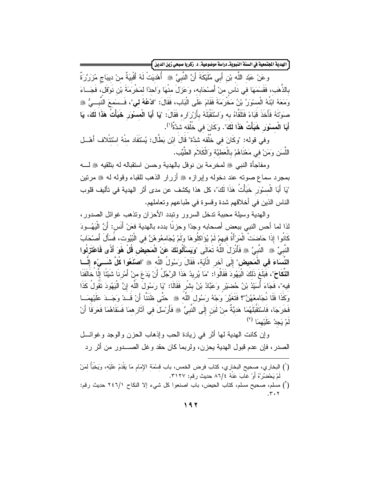ّ الهدية الجتمعية في السنة النبويةـ دراسة موضوعية، د. زكريا صبحي زين الدين <mark>}</mark>

و عَنْ عَبْد اللَّه بْنِ أَبِي مُلَيْكَةَ أَنَّ النَّبِيَّ ۞ أُهْدِيَتْ لَهُ أَقْبِيَةٌ منْ ديبَاجٍ مُزَرَّرَةٌ بِالذِّهَبِ، فَقَسَمَهَا في نَاسٍ منْ أَصْحَابِهِ، وَعَزِلَ مِنْهَا وَاحدًا لمَخْرِمَةً بْنِ نُوْقُل، فَجَــاءَ ومَعَهُ ابْنُهُ الْمسْوَرُ بْنُ مَخْرِمَةَ فَقَامَ عَلَى الْبَابِ، فَقَالَ: "ادْعُهُ لي"، فَــسَمعَ النَّبــيُّ ﷺ صوَّتَهُ فَأَخَذَ قَبَاءً فَتَلَقَّاهُ به وَاسْتَقْبَلَهُ بِأَرْرَارِه فَقَالَ: "يَا أَبَا الْمسوْر خَبَأْتُ هَذَا لَكَ، يَا أَبَا الْمسوْرَ خَبَأْتُ هَذَا لَكَ". وَكَانَ في خُلُقه شدَّةٌ'<sup>(١</sup>).

وفي قوله: "وكَانَ في خُلُقه شدَّة" قَالَ ابْنِ بَطَّال: يُسْتَفَاد منْهُ اسْتَتْلاف أَهْــل اللَّسَنِ وَمَنْ في مَعْنَاهُمْ بِالْعَطِيَّة وَالْكَلاَمِ الطَّيِّبِ.

ومفاجأة النبي ﷺ لمخرمة بن نوفل بالهدية وحسن استقباله له بنلقيه ﷺ لـــه بمجرد سماع صوته عند دخوله وإبرازه ﷺ أزرار الذهب للقباء وقوله له ﷺ مرتين "يَا أَبَا الْمسْوَرِ ۚ خَبَأْتُ هَذَا لَكَ"، كل هذا يكشف عن مدى أثر ِ الهدية في تأليف قلوب الناس الذين في أخلاقهم شدة وفسوة في طباعهم وتعاملهم.

والمهدية وسيلة محببة تدخل السرور وتبدد الأحزان وتذهب غوائل الصدور ، لذا لما أحس النبي ببعض أصحابه وجدًا وحزنًا بدده بالهدية فعَنْ أَنَس: أَنَّ الْيَهُــودَ كَانُوا إِذَا حَاضَتْ الْمَرْأَةُ فيهمْ لَمْ يُؤَاكلُوهَا ولَمْ يُجَامعُوهُنَّ في الْبُيُوت، فَسَأَلَ أَصْحَابُ النَّبِيِّ ۞ النَّبِيَّ ۞ فَأَنْزَلَ اللَّهُ تَعَالَى "وَيَسْأَلُونَكَ عَنْ الْمَحيض قُلْ هُوَ أَذًى فَاعْتَزِلُو ا النِّسَاءَ في الْمَحيض" إلَى آخر الْآيَة، فَقَالَ رَسُولُ اللَّه ﷺ "اصنَّعُوا كُلِّ شَـــيْءِ إلّـــا النِّكَاحَ"، فَبَلَغَ ذَلكَ الْيَهُودَ فَقَالُوا: "مَا يُرِيدُ هَذَا الرَّجُلُ أَنْ يَدَعَ منْ أَمْرِنَا شَيْئًا إِلَّا خَالَفَنَا فيه"، فَجَاءَ أُسَيْدُ بْنُ حُضنَيْر وَعَبَّادُ بْنُ بِشْرٍ فَقَالَا: "يَا رَسُولَ اللَّه إِنَّ الْيَهُودَ تَقُولُ كَذَا وَكَذَا فَلَا نُجَامِعُهُنَّ"؟ فَتَغَيَّرَ وَجْهُ رَسُول اللَّهِ ﷺ حَتَّى ظَنَنَّا أَنْ قُــٰدْ وَجَــذَ عَلَيْهمَــا فَخَرَجَا، فَاسْتَقْبَلَهُمَا هَديَّةٌ منْ لَبَن إِلَى النَّبِيِّ ۞ فَأَرْسَلَ في آثَارِ همَا فَسَقَاهُمَا فَعَرَفَا أَنْ لَمْ يَجِدْ عَلَيْهِمَا (٢)

وإن كانت الهدية لها أثر في زيادة الحب وإذهاب الحزن والوجد وغوائـــل الصدر، فإن عدم قبول الهدية يحزن، ولربما كان حقد وغل الصــــدور من أثر رد

<sup>(&#</sup>x27;) البخاري، صحيح البخاري، كتاب فرض الخمس، باب قِسْمَةِ الإِمَامِ مَا يَقْدَمُ عَلَيْه، وَيَخْبَأُ لمَنْ لَمْ يَحْضُرُهُ أَوْ غَابَ عَنَّهُ ٤/٦٦ حديث رقم: ٣١٢٧.

<sup>(</sup>أ) مسلم، صحيح مسلم، كتاب الحيض، باب اصنعوا كل شيء إلا النكاح ٢٤٦/١ حديث رقم: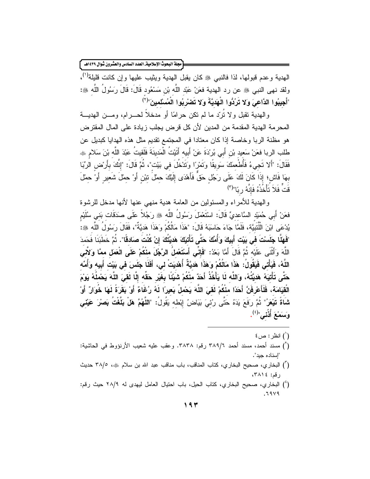مجلة البحوث الإسلامية العدد السادس والعشرون شوال ١٤٣٩هـ كم

الهدية وعدم قبولها، لذا فالنبي ﷺ كان يقبل الهدية ويثيب عليها وإن كانت قليلة<sup>(١</sup>)، ولقد نهى النبي ۞ عن رد الهدية فعَنْ عَبْدِ اللَّهِ بْنِ مَسْعُودٍ قَالَ: قَالَ رَسُولُ اللَّهِ ۞: "أَجِيبُوا الدَّاعِيَ وَلا تَرُدُّوا الْهَدَيَّةَ وَلا تَصْرِبُوا الْمُسْلَمينَ"<sup>(٢)</sup>

والهدية نقبل ولا نُرَد ما لم نكن حرامًا أو مدخلاً لحــــرام، ومــــن الهديــــة المحر مة الهدية المقدمة من المدين لأن كل قر ض يجلب زيادة على المال المقتر ض هو مظنة الربا وخاصة إذا كان معتادا في المجتمع تقديم مثل هذه الهدايا كبديل عن طلب الربا فعَنْ سَعيد بْن أَبِي بُرِدَةَ عَنْ أَبِيه أَتَيْتُ الْمَدينَةَ فَلَقيتُ عَبْدَ اللَّه بْنَ سَلام ﷺ فَقَالَ: "أَلا نَجيءُ فَأُطْعمَكَ سَويقًا وَتَمْرًا وَتَدْخُلَ في بَيْت"، ثُمَّ قَالَ: "إنَّكَ بأَرْض الرِّبَا بهَا فَاش؛ إذَا كَانَ لَكَ عَلَى رَجُل حَقٌّ فَأَهْدَى إِلَيْكَ حملَ نبْن أَوْ حمْلَ شَعير أَوْ حمْلَ قَتَّ فَلاَ تَأْخُذُهُ فَانَّهُ رِ يًا"<sup>(٣)</sup>

والهدية للأمراء والمسئولين من العامة هدية منهى عنها لأنها مدخل للرشوة فعَنْ أَبِي حُمَيْد السَّاعديِّ قَالَ: اسْتَعْمَلَ رَسُولُ اللَّهِ ۞ رَجُلاً عَلَى صَدَقَاتٍ بَنِي سُلَيْمٍ يُدْعَى ابْنَ الْلَّتَبِيَّة، فَلَمَّا جَاءَ حَاسَبَهُ قَالَ: "هَذَا مَالْكُمْ وَهَذَا هَدِيَّةٌ"، فَقَالَ رَسُولُ اللّه ﷺ: "فَهَلَّا جَلَسْتَ في بَيْت أَبِيكَ وَأُمِّكَ حَتَّى تَأْتِيَكَ هَدِيَّتُكَ إِنْ كُنْتَ صَادقًا". ثُمَّ خطَبَنَا فَحَمدَ اللَّهَ وَأَثْنَى عَلَيْه ثُمَّ قَالَ أَمَّا بَعْدُ: "فَإِنِّي أَسْتَعْملُ الرَّجْلَ منْكُمْ عَلَى الْعَمَل ممَّا وَلآتي اللَّهُ، فَيَأْتي فَيَقُولُ: هَذَا مَالُكُمْ وَهَذَا هَديَّةٌ أُهْدِيَتْ لي، أَفَلَا جَلَسَ في بَيْت أَبيه وَأُمِّه حَتَّى تَأْتيَهُ هَديَّتُهُ، وَاللَّه لَا يَأْخُذُ أَحَدٌ منْكُمْ شَبِئًا بِغَيْرِ حَقِّه إِلَّا لَقيَ اللّهَ يَحْمِلُهُ يَوْمَ الْقِيَامَةَ، فَلَأَعْرِفَنَّ أَحَدًا منْكُمْ لَقَىَ اللَّهَ يَحْملُ بَعيرًا لَهُ رُغَاءً أَوْ بَقَرَةً لَهَا خُوَارٌ أَوْ شَاةً تَيْعَرُ" ثُمَّ رَفَعَ يَدَهُ حَتَّى رُئيَ بَيَاضُ إِبْطه يَقُولُ: "اللَّهُمَّ هَلْ بَلَّغْتُ بَصْرَ عَيْنَي وَسَمَعَ أُذُني"<sup>(٤)</sup>.

- $\Omega$  انظر : ص $\Omega$
- (أ) مسند أحمد، مسند أحمد ٣٨٩/٦ رقم: ٣٨٣٨. وعقب عليه شعيب الأرنؤوط في الحاشية: "إسناده جيد".
- (") البخاري، صحيح البخاري، كتاب المناقب، باب مناقب عبد الله بن سلام ﷺ، ٣٨/٥ حديث رقم: ٣٨١٤،
- (') البخاري، صحيح البخاري، كتاب الحيل، باب احتيال العامل ليهدى له ٢٨/٩ حيث رقم:  $.7949$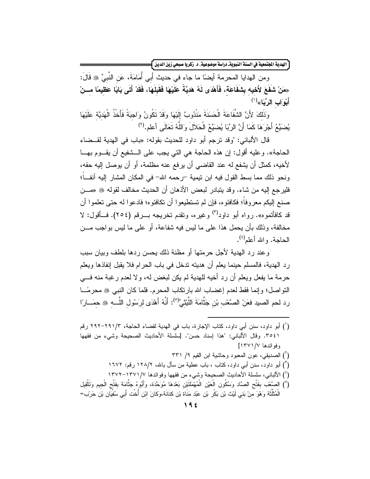ّ الهدية الجتمعية في السنة النبويةـ دراسة موضوعية، د. زكريا صبحي زين الدين <mark>}</mark>

ومن الهدايا المحرمة أيضاً ما جاء في حديث أَبي أُمَامَةَ، عَن النَّبيِّ ﷺ قَالَ: «مَنْ شَفَعَ لأَخيه بِشَفَاعَة، فَأَهْدَى لَهُ هَديَّةً عَلَيْهَا فَقَبِلَهَا، فَقَدْ أَتَى بَابًا عَظيمًا مــنْ أَبْوَ ابِ الرِّبَا»<sup>(۱)</sup>

وَذَلِكَ لأَنَّ الشَّفَاعَةَ الْحَسَنَةَ مَنْدُوبٌ إِلَيْهَا وَقَدْ تَكُونُ وَاجبَةً فَأَخْذُ الْهَديَّة عَلَيْهَا يُضنِّعُ أَجْرَ هَا كَمَا أَنَّ الرِّبَا يُضنِّعُ الْحَلاَلَ وَاللَّهُ تَعَالَى أعلم.<sup>(٢)</sup>

قال الألباني: "وقد ترجم أبو داود للحديث بقوله: «باب في الهدية لقــضاء الحاجة». وعليه أقول: إن هذه الحاجة هي التي يجب على الــشفيع أن يقـــوم بهـــا لأخيه، كمثل أن يشفع له عند القاضي أن يرفع عنه مظلمة، أو أن يوصل إليه حقه، ونحو ذلك مما بسط القول فيه ابن نيمية –رحمه الله– في المكان المشار إليه آنفــاً؛ فلير جع إليه من شاء. وقد يتبادر لبعض الأذهان أن الحديث مخالف لقوله ﷺ «مـــن صنع البكم معروفاً؛ فكافئوه، فإن لم تستطيعوا أن تكافئوه؛ فادعوا له حتى تعلموا أن قد كافأتموه». رواه أبو داود<sup>(٣)</sup> وغيره، وتقدم تخريجه بــــرقم (٢٥٤). فـــأقول: لا مخالفة، وذلك بأن يحمل هذا على ما ليس فيه شفاعة، أو على ما ليس بواجب مـــن المحاجة. والله أعلم<sup>(٤)</sup>.

وعند رد الهدية لأجل حرمتها أو مظنة ذلك يحسن ردها بلطف وبيان سبب رد الهدية، فالمسلم حينما يعلم أن هديته ندخل في باب الحرام فلا يقبل إنفاذها ويعلم حرمة ما يفعل ويعلم أن رد أخيه للهدية لم يكن لبغض له، ولا لعدم رغبة منه فسي النَّواصل؛ وإنما فقط لعدم إغضاب الله بارتكاب المحرم. فلما كان النبي ﷺ محرمًــا رد لحم الصيد فعَنْ الصَّعْب بْن جَثَّامَةَ اللَّيْنْيِّ<sup>(0</sup>): أَنَّهُ أَهْدَى لرَسُول اللَّـــه ﷺ حمَـــار ًا

- (`) أبو داود، سنن أبي داود، كتاب الإجارة، باب في الهدية لقضاء الحاجة، ٣/٢٩١/٣ رقم ٢٥٤١. وقال الألباني: "هذا إسناد حسن". [سلسلة الأحاديث الصحيحة وشيء من فقهها وفوائدها ١٣٧١/٧]
	- (') الصديقى، عون المعبود وحاشية ابن القيم ٩/ ٣٣١
	- (آ) أبو داود، سنن أبي داود، كتاب ، باب عطية من سأل باشه، ١٢٨/٢ رقم: ١٦٧٢
	- (') الألباني، سلسلة الأحاديث الصحيحة وشيء من فقهها وفوائدها ١٣٧٧-١٣٧٢
- (°) الصَّعْب بفَتْح الصَّاد وَسَكُون الْعَيْن الْمُهْمَلَتَيْن بَعْدهَا مُوَحَّدَة، وَأَبُوهُ جَنَّامَة بفَتْح الْجيم وتَتْقيل الْمُثَلَّثَة وَهُوَ مِنْ بَنِي لَيْتْ بْنِ بَكْرٍ بْنِ عَبْدِ مَنَاة بْنِ كِنَانَة،وكَانَ ابْنِ أُخْت أَبي سُفْيَان بْنِ حَرْبَ=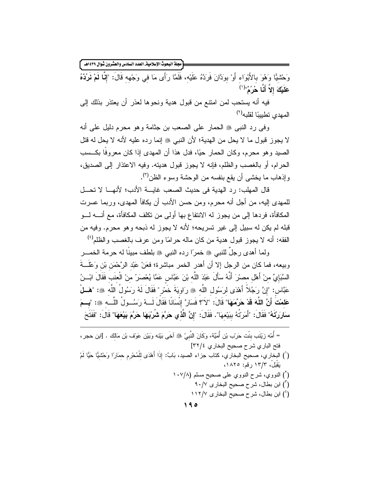.<br>مجلة البحوث الإسلامية\_ العدد السادس والعشرون شوال ١٤٣٩هـ ً

وَحْشَيًّا وَهُوَ بِالأَبْوَاءِ أَوْ بِوَدَّانَ فَرَدَّهُ عَلَيْهِ، فَلَمَّا رَأَى مَا في وَجْهِه قَالَ: "إِنَّا لَمْ نَرُدَّهُ عَلَيْكَ إِلاّ أَنَّا هُرُ ٌ"'(')

فيه أنه يستحب لمن امتنع من قبول هدية ونحوها لعذر أن يعتذر بذلك إلى المهدى تطبيبًا لقلبه<sup>(٢)</sup>

وفي رد النبي ﷺ الحمار على الصعب بن جنامة وهو محرم دليل على أنه لا يجوز قبول ما لا يحل من الهدية؛ لأن النبي ﷺ إنما رده عليه لأنه لا يحل له قتل الصيد وهو محرم، وكان الحمار حيًا، فدل هذا أن المهدى إذا كان معروفًا بكـــسب الحرام، أو بالغصب والظلم، فإنه لا يجوز قبول هديته. وفيه الاعتذار إلى الصديق، وإذهاب ما يخشى أن يقع بنفسه من الوحشة وسوء الظن<sup>(٣)</sup>.

قال المهلب: رد الهدية في حديث الصعب غايسة الأدب؛ لأنهــا لا تحــل للمهدي إليه، من أجل أنه محرم، ومن حسن الأدب أن يكافأ المهدي، وربما عسرت المكافأة، فردها إلى من يجوز له الانتفاع بها أولى من تكلف المكافأة، مع أنــــه لــــو قبله لم يكن له سبيل إلى غير تسريحه؛ لأنه لا يجوز له ذبحه و هو محرم. وفيه من الفقه: أنه لا يجوز قبول هدية من كان ماله حرامًا ومن عرف بالغصب والظلم<sup>(٤)</sup>

ولِما أهدى رجلٌ للنبي ﷺ خمرًا رده النبي ﷺ بلطف مبينًا له حرمة الخمـــر وبيعه، فما كان من الرجل إلا أن أهدر الخمر مباشرة؛ فعَنْ عَبْد الرَّحْمَن بْن وَعْلَـــةَ السَّبَاءِيِّ منْ أَهْلِ مصرْرَ أَنَّهُ سَأَلَ عَبْدَ اللَّه بْنَ عَبَّاسٍ عَمَّا يُعْصَرُ منْ الْعنَبِ فَقَالَ ابْــنُ عَبَّاس: "إِنَّ رَجُلاً أَهْدَى لرَسُول اللَّه ﷺ رَاوِيَةَ خَمْرٍ " فَقَالَ لَهُ رَسُولُ اللَّه ﷺ: "هَــلْ عَلمْتَ أَنَّ اللَّهَ قَدْ حَرَّمَهَا" قَالَ: "لاَ"؟ فَسَارٌ ۚ إِنْسَانًا فَقَالَ لَـــهُ رِسَــُــولُ اللَّـــه ﷺ: "بِـــمَ سَارِرَتَهُ" فَقَالَ: "أَمَرَتُهُ بِبَيْعِهَا". فَقَالَ: "إِنَّ الَّذِي حَرَّمَ شُرْبَهَا حَرَّمَ بَيْعَهَا" قَالَ: "فَفَتَحَ

- = أُمِّه زَيْنَب بنْت حَرْب بْنِ أُمَيَّة، وكَانَ النَّبِيِّ ۞ آخَى بَيْنه وبَيْنِ عَوْف بْنِ مَالَك . [ابن حجر ، فتح الباري شرح صحيح البخاري ٢٢/٤]
- (') البخاري، صحيح البخاري، كتاب جزاء الصيد، بَابٌ: إذَا أَهْدَى للْمُحْرِم حمَارًا وَحَشْيًا حَيًّا لَمْ يَقَبَلْ، ١٣/٣ رقم: ١٨٢٥،
	- (`) النووي، شرح النووي على صحيح مسلم (١٠٧/٨
		- ابن بطال، شرح صحيح البخار ي ٩٠/٧  $\mathcal{N}(n)$
		- (<sup>٤</sup>) ابن بطال، شرح صحيح البخار ي ١١٢/٧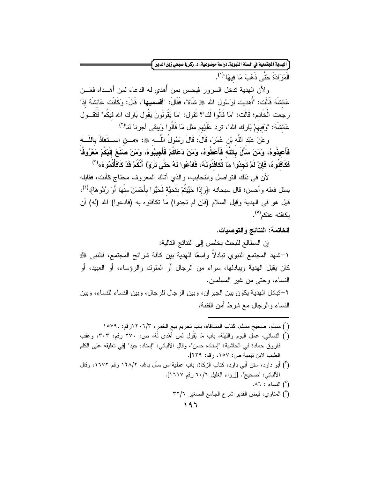.<br>الهدية الجتمعية في السنة النبويةـ دراسة موضوعية، د. زكريا صبحي زين الدين ً

الْمَزَ ادَةَ حَتَّى ذَهَبَ مَا فِيهَا"<sup>(١</sup>).

ولأن الهدية تدخل السرور فيحسن بمن أهدى له الدعاء لمن أهــداه فعَـــن عَائشَة قَالَت: "أُهديت لرَسُول الله ﷺ شَاة"، فَقَالَ: "أ**قسميها**"، قَالَ: وكَانَت عَائشَة إذا رجعت الْخَادم؛ قَالَت: "مَا قَالُوا لَك"؟ نَقول: "مَا يَقُولُونَ يَقُول بَارِك الله فيكُم" فَنَقــول عَائشَة: "وَفيهمْ بَارِك الله"، نزد عَلَيْهم مثل مَا قَالُوا وَيبقى أجرنا لنا<sup>(٢)</sup>

وعَنْ عَبْد اللَّه بْنِ عُمَرَ، قَالَ: قَالَ رَسُولُ اللَّـــه ﷺ: «مـــن اســـتَعَاذَ بِاللّـــه فَأَعيذُوهُ، ومَنْ سَأَلَ بِاللَّه فَأَعْطُوهُ، ومَنْ دَعَاكُمْ فَأَجِيبُوهُ، ومَنْ صنَعَ إِلَيْكُمْ مَعْرُوفًا فَكَافِئُوهُ، فَإِنْ لَمْ تَجِدُوا مَا تُكَافِئُونَهُ، فَادْعُوا لَهُ حَتَّى تَرَوْا أَنَّكُمْ قَدْ كَافَأْتُمُوهُ»<sup>(٣)</sup>

لأن في ذلك النواصل والنحابب، والذي أناك المعروف محناج كأنت، فقابله بمثل فعله وأحسن؛ قال سبحانه ﴿وَإِذَا حُبِّيتُمْ بِتَحِيَّة فَحَيُّوا بِأَحْسَنَ مِنْهَا أَوْ رُدُّوهَا﴾ (')، قيل هو في الهدية وقيل السلام (فإن لم تجدوا) ما تكافئوه به (فادعوا) الله (له) أن بكافئه عنكم<sup>(٥)</sup>.

الخاتمة: النتائج والتوصيات.

إن المطالع للبحث يخلص إلى النتائج التالية: ١–شهد المجتمع النبوي نبادلاً واسعًا للهدية بين كافة شرائح المجتمع، فالنبي ﷺ كان يقبل الهدية ويبادلها، سواء من الرجال أو الملوك والرؤساء، أو العبيد، أو النساء، وحتى من غير المسلمين. ٢–تبادل الهدية يكون بين الجير إن، وبين الرجال للرجال، وبين النساء للنساء، وبين النساء والرجال مع شرط أمن الفتنة.

(`) مسلم، صحيح مسلم، كتاب المساقاة، باب تحريم بيع الخمر ، ١٢٠٦/٣ (رقم: ١٥٧٩. ) (`) النسائي، عمل اليوم والليلة، باب مَا يَقُول لمن أهْدي لَهُ، ص: ٢٧٠ رقم: ٣٠٣، وعقب فاروق حمادة في الحاشية: "إسناده حسن"، وقال الألباني: "إسناده جيد" [في تعليقه على الكلم الطيب لابن نيمية ص: ١٥٧، رقم: ٢٣٩]. (أ) أبو داود، سنن أبي داود، كتاب الزكاة، باب عطية من سأل بالله، ١٢٨/٢ رقم ١٦٧٢، وقال الألبانـي: "صـحيح". [إرواء الغليل ٦٠/٦ رقم ١٦١٧].  $\Lambda$ 1 : النساء  $\Lambda$  . (°) المناوى، فيض القدير شرح الجامع الصغير ٣٢/٦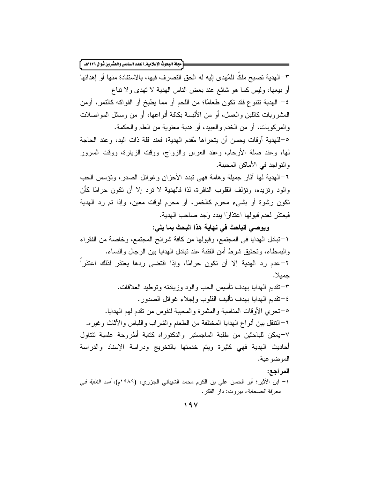[مجلة البحوث الإسلامية\_ العدد السادس والعشرون شوال ١٤٣٩هـ ٢ ٣–الهدية تصبح ملكًا للمُهدى إليه له الحق التصرف فيها، بالاستفادة منها أو إهدائها أو بيعها، وليس كما هو شائع عند بعض الناس الهدية لا نهدى ولا نباع ٤– المهدية نتتوع فقد نكون طعامًا؛ من اللحم أو مما يطبخ أو الفواكه كالنمر، أومن الْمَشْرِوبِاتِ كاللَّبْنِ وِالْعِسْلِ، أَوْ مِن الأَلْبِسَةَ بِكَافَةِ أَنواعِهَا، أَوْ مِن وسائل المواصلات و المركوبات، أو من الخدم و العبيد، أو هدية معنوية من العلم و الحكمة. ٥–للهدية أوقات يحسن أن يتحراها مُقدم الهدية؛ فعند قلة ذات اليد، وعند الحاجة لمها، وعند صلة الأرحام، وعند العرس والزواج، ووقت الزيارة، ووقت السرور والنواجد في الأماكن المحببة. ٦–الهدية لها آثار جميلة وهامة فهي نبدد الأحزان وغوائل الصدر، ونؤسس الحب والود ونزيده، ونؤلف القلوب النافرة، لذا فالهدية لا نزد إلا أن نكون حر امًا كأن نكون رشوة أو بشيء محرم كالخمر، أو محرم لوفت معين، وإذا تم رد الهدية فيعتذر لعدم قبولها اعتذارًا ببدد وَجد صاحب الهدية. ويوصى الباحث في نهاية هذا البحث بما يلي: ١–تبادل الهدايا في المجتمع، وقبولها من كافة شرائح المجتمع، وخاصة من الفقراء والبسطاء، وتحقيق شرط أمن الفتنة عند نبادل الهدايا بين الرجال والنساء.

٢–عدم رد الهدية إلا أن نكون حرامًا، وإذا اقتضبي ردها يعتذر لذلك اعتذراً جمبلا.

٣–تقديم الهدايا بهدف نأسيس الحب والود وزيادته وتوطيد العلاقات. ٤–تقديم المهدايا بهدف نأليف القلوب وإجلاء غوائل الصدور . ٥–تحر ي الأوقات المناسبة والمثمر ة والمحببة لنفوس من تقدم لمهم الهدايا. ٦–النتقل بين أنواع الهدايا المختلفة من الطعام والشراب واللباس والأثاث وغير ه. ٧–بمكن للباحثين من طلبة الماجستير والدكتوراه كتابة أطروحة علمية تتناول أحاديث الهدية فهى كثيرة ويتم خدمتها بالتخريج ودراسة الإسناد والدراسة الموضوعية. المراجع: ١– ابن الأثير؛ أبو الحسن على بن الكرم محمد الشيباني الجزري، (١٩٨٩م)، *أسد الغابة في معرفة الصحابة،* بيروت: دار الفكر .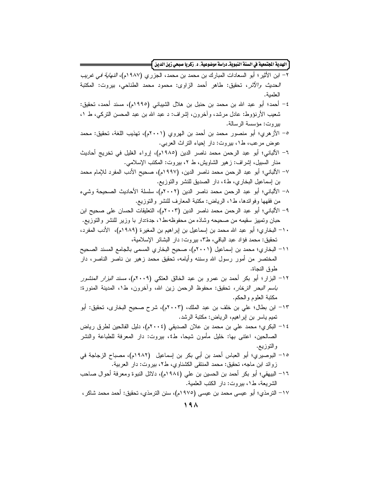.<br>الهدية الجتمعية في السنة النبويةـ دراسة موضوعية، د. زكريا صبحي زين الدين **]**=

| ٢– ابن الأثير ؛ أبو  السعادات المبارك بن محمد بن محمد، الجزري (٩٨٧م)، <i>النـهاية في غريب</i> |
|-----------------------------------------------------------------------------------------------|
| <i>الحديث والأثر</i> ، تحقيق: طاهر أحمد الزاوى: محمود محمد الطناحي، بيروت: المكتبة            |
| العلمية.                                                                                      |
| ٤– أحمد؛ أبو عبد الله بن محمد بن حنبل بن هلال الشيباني (١٩٩٥م)، مسند أحمد، تحقيق:             |
| شعيب الأرنؤوط: عادل مرشد، وأخرون، إشراف: د عبد الله بن عبد المحسن النركي، ط ١،                |
| بيروت: مؤسسة الرسالة.                                                                         |
| ٥– الأزهري؛ أبو منصور محمد بن أحمد بن الهروي (٢٠٠١م)، تهذيب اللغة، تحقيق: محمد                |
| عوض مرعب، ط١، بيروت: دار إحياء النراث العربي.                                                 |
| ٦– الألباني؛ أبو عبد الرحمن محمد ناصر الدين (١٩٨٥م)، إرواء الغليل في تخريج أحاديث             |
| منار السبيل، إشراف: زهير الشاويش، ط ٢، بيروت: المكتب الإسلامي.                                |
| ٧– الألباني؛ أبو عبد الرحمن محمد ناصر الدين، (١٩٩٧م)، صحيح الأدب المفرد للإمام محمد           |
| بن إسماعيل البخاري، ط٤، دار الصديق للنشر والنوزيع.                                            |
| الألباني؛ أبو عبد الرحمن محمد ناصر الدين (٢٠٠٢م)، سلسلة الأحاديث الصحيحة وشيء<br>$-\lambda$   |
| من فقهها وفوائدها، ط١، الرياض: مكتبة المعارف للنشر والنوزيع.                                  |
| ٩– الألباني؛ أبو عبد الرحمن محمد ناصر الدين (٢٠٠٣م)، التعليقات الحسان على صحيح ابن            |
| حبان وتمييز سقيمه من صحيحه وشاذه من محفوظه،ط١، جدة:دار با وزير للنشر والتوزيع.                |
| ١٠– البخاري؛ أبو عبد الله محمد بن إسماعيل بن إبراهيم بن المغيرة (١٩٨٩م)، الأدب المفرد،        |
| تحقيق: محمد فؤاد عبد الباقي، ط٣، بيروت: دار البشائر الإسلامية،                                |
| ١١– البخاري؛ محمد بن إسماعيل (٢٠٠١م)، صحيح البخاري المسمى بالجامع المسند الصحيح               |
| المختصر من أمور رسول الله وسننه وأيامه، تحقيق محمد زهير بن ناصر الناصر، دار                   |
| طوق النجاة.                                                                                   |
| ١٢– البزار؛ أبو بكر أحمد بن عمرو بن عبد الخالق العتكي (٢٠٠٩م)، <i>مسند البزار المنشور</i>     |
| <i>باسم البحر الزخار،</i> تحقيق: محفوظ الرحمن زين الله، وأخرون، ط١، المدينة المنورة:          |
| مكتبة العلوم والحكم.                                                                          |
| ١٣– ابن بطال؛ علي بن خلف بن عبد الملك، (٢٠٠٣م)، شرح صحيح البخارى، تحقيق: أبو                  |
| نميم ياسر بن إبراهيم، الرياض: مكتبة الرشد.                                                    |
| ١٤ – البكر ي؛ محمد علي بن محمد بن علان الصديقي (٢٠٠٤م)، دليل الفالحين لطرق رياض               |
| الصالحين، اعتنى بها: خليل مأمون شيحا، ط٤، بيروت: دار المعرفة للطباعة والنشر                   |
| والتوزيع.                                                                                     |
| ١٥– البوصيري؛ أبو العباس أحمد بن أبي بكر بن إسماعيل  (١٩٨٢م)، مصباح الزجاجة في                |
| زوائد ابن ماجه، تحقيق: محمد المنتقى الكشناوي، ط٢، بيروت: دار العربية.                         |
| ١٦– البيهقي؛ أبو بكر أحمد بن الحسين بن علي (١٩٨٤م)، دلائل النبوة ومعرفة أحوال صاحب            |
| الشريعة، ط١، بيروت: دار الكتب العلمية.                                                        |
| ١٧– الترمذي؛ أبو  عيسى محمد بن عيسى (١٩٧٥م)، سنن الترمذي، تحقيق: أحمد محمد شاكر ،             |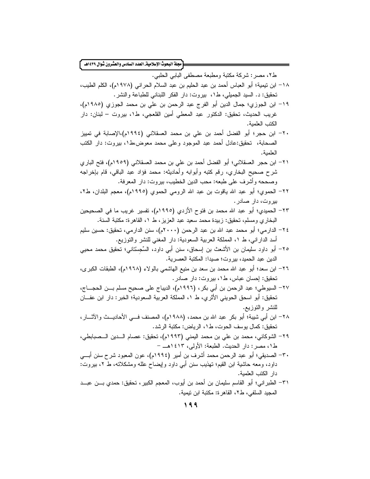| ط٢، مصر: شركة مكتبة ومطبعة مصطفى البابي الحلبي.<br>١٨– ابن نيمية؛ أبو العباس أحمد بن عبد الحليم بن عبد السلام الحراني (١٩٧٨م)، الكلم الطيب، |
|---------------------------------------------------------------------------------------------------------------------------------------------|
|                                                                                                                                             |
|                                                                                                                                             |
| تحقيق: د. السيد الجميلي، ط١، بيروت: دار الفكر اللبناني للطباعة والنشر .                                                                     |
| ١٩– ابن الجوزي؛ جمال الدين أبو الفرج عبد الرحمن بن علي بن محمد الجوزي (١٩٨٥م)،                                                              |
| غريب الحديث، تحقيق: الدكتور  عبد المعطى أمين القلعجي، ط١، بيروت – لبنان: دار                                                                |
| الكتب العلمية.                                                                                                                              |
| ٢٠– ابن حجر؛ أبو الفضل أحمد بن علي بن محمد العسقلاني (١٩٩٤م)،الإصابة في تمييز                                                               |
| الصحابة،  تحقيق:عادل أحمد عبد الموجود وعلى محمد معوض،ط١، بيروت: دار الكتب                                                                   |
| العلمية.                                                                                                                                    |
| ٢١– ابن حجر العسقلاني؛ أبو الفضل أحمد بن علي بن محمد العسقلاني (١٩٥٩م)، فتح الباري                                                          |
| شرح صحيح البخاري، رقم كتبه وأبوابه وأحاديثه: محمد فؤاد عبد الباقي، قام بإخراجه                                                              |
| وصححه وأشرف على طبعه: محب الدين الخطيب، بيروت: دار المعرفة.                                                                                 |
| ٢٢– الحموي؛ أبو عبد الله ياقوت بن عبد الله الرومي الحموي (١٩٩٥م)، معجم البلدان، ط٢،                                                         |
| بیروت، دار صادر .                                                                                                                           |
| ٢٣– الحميدي؛ أبو  عبد الله محمد بن فتوح الأزدي (١٩٩٥م)، نفسير  غريب ما في الصحيحين                                                          |
| البخاري ومسلم، تحقيق: زبيدة محمد سعيد عبد العزيز ، ط ١، القاهرة: مكتبة السنة.                                                               |
| ٢٤– الدار مي؛ أبو محمد عبد الله بن عبد الرحمن (٢٠٠٠م)، سنن الدار مي، تحقيق: حسين سليم                                                       |
| أسد الدارانبي، ط ١، المملكة العربية السعودية: دار المغنبي للنشر والنوزيع.                                                                   |
| ٢٥– أبو داود سليمان بن الأشعث بن إسحاق، سنن أبي داود، السِّجسْتاني؛ تحقيق محمد محيي                                                         |
| الدين عبد الحميد، بيروت؛ صيدا: المكتبة العصرية.                                                                                             |
| ٢٦– ابن سعد؛ أبو  عبد الله محمد بن سعد بن منيع المهاشمي بالولاء (١٩٦٨م)، الطبقات الكبر ي،                                                   |
| تحقیق: اٍحسان عباس، ط۱، بیروت: دار صادر .                                                                                                   |
| ٢٧– السيوطي؛ عبد الرحمن بن أبي بكر ، (١٩٩٦م)، الديباج على صحيح مسلم بـــن الحجــــاج،                                                       |
| تحقيق: أبو اسحق الحويني الأثري، ط ١، المملكة العربية السعودية؛ الخبر : دار ابن عفـــان                                                      |
| للنشر والنوزيع.                                                                                                                             |
| ٢٨– ابن أبـي شيبة؛ أبو بكر عبد الله بن محمد، (١٩٨٨م)، المصنف فـــي الأحاديـــث والآثـــار ،                                                 |
| تحقيق: كمال يوسف الحوت، ط١، الرياض: مكتبة الرشد.                                                                                            |
| ٢٩– الشوكاني، محمد بن علي بن محمد اليمني (١٩٩٣م)، تحقيق: عصام الـــدين الـــصبابطي،                                                         |
| ط١، مصر : دار الحديث. الطبعة: الأولى، ١٤١٣هــ –                                                                                             |
| ٣٠– الصديقي؛ أبو عبد الرحمن محمد أشرف بن أمير (١٩٩٤م)، عون المعبود شرح سنن أبـــي                                                           |
| داود، ومعه حاشية ابن القيم؛ تهذيب سنن أبي داود وإيضاح علله ومشكلاته، ط ٢، بيروت:                                                            |
| دار الكتب العلمية.                                                                                                                          |
| ٣١– الطبر اني؛ أبو  القاسم سليمان بن أحمد بن أيوب، المعجم الكبير، تحقيق: حمدي بـــن عبـــد                                                  |
| المجيد السلفي، ط٢، القاهر ة: مكتبة ابن نيمية.                                                                                               |
| 199                                                                                                                                         |